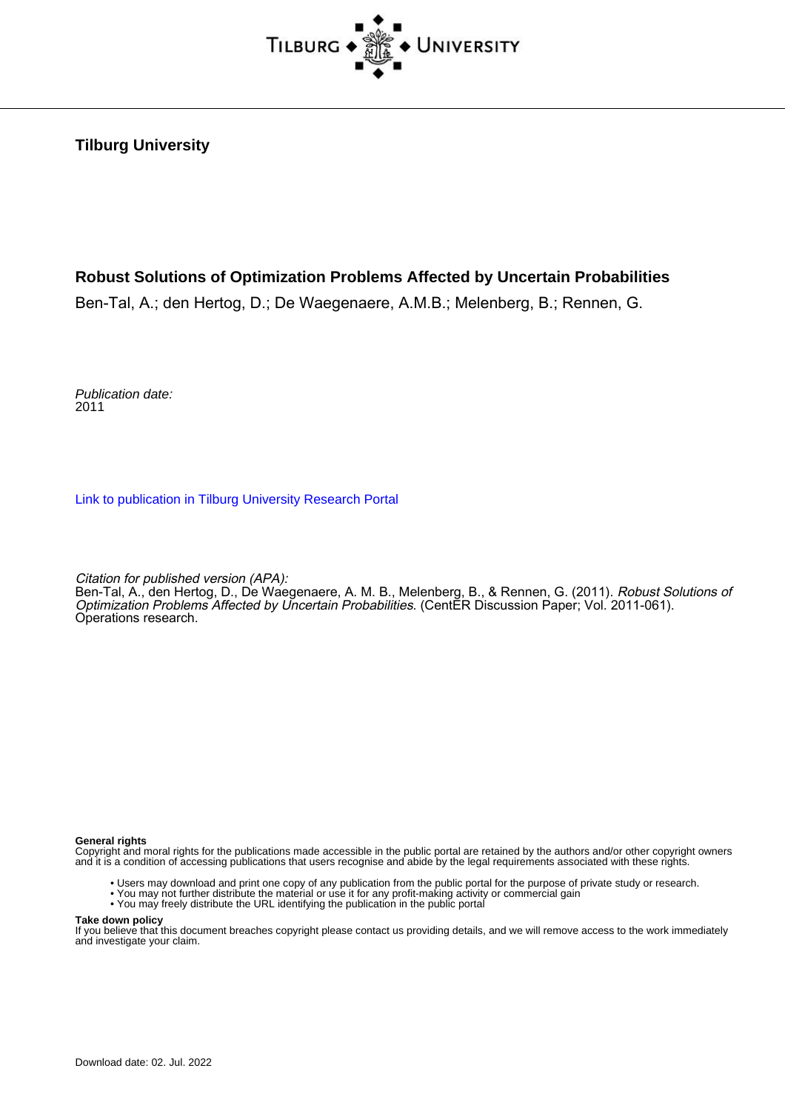

**Tilburg University**

# **Robust Solutions of Optimization Problems Affected by Uncertain Probabilities**

Ben-Tal, A.; den Hertog, D.; De Waegenaere, A.M.B.; Melenberg, B.; Rennen, G.

Publication date: 2011

[Link to publication in Tilburg University Research Portal](https://research.tilburguniversity.edu/en/publications/4d43dc51-86d9-4804-8563-9c0b1891e0bc)

Citation for published version (APA):

Ben-Tal, A., den Hertog, D., De Waegenaere, A. M. B., Melenberg, B., & Rennen, G. (2011). *Robust Solutions of* Optimization Problems Affected by Uncertain Probabilities. (CentER Discussion Paper; Vol. 2011-061). Operations research.

#### **General rights**

Copyright and moral rights for the publications made accessible in the public portal are retained by the authors and/or other copyright owners and it is a condition of accessing publications that users recognise and abide by the legal requirements associated with these rights.

- Users may download and print one copy of any publication from the public portal for the purpose of private study or research.
- You may not further distribute the material or use it for any profit-making activity or commercial gain
- You may freely distribute the URL identifying the publication in the public portal

#### **Take down policy**

If you believe that this document breaches copyright please contact us providing details, and we will remove access to the work immediately and investigate your claim.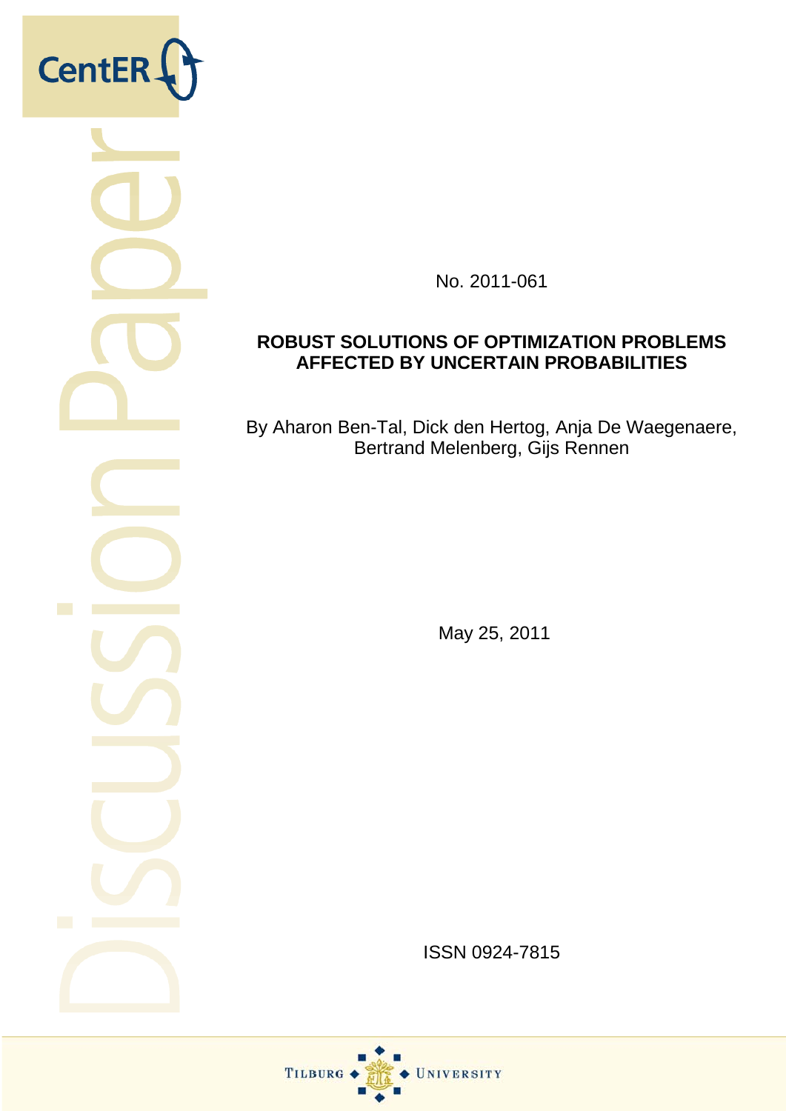

No. 2011-061

# **ROBUST SOLUTIONS OF OPTIMIZATION PROBLEMS AFFECTED BY UNCERTAIN PROBABILITIES**

By Aharon Ben-Tal, Dick den Hertog, Anja De Waegenaere, Bertrand Melenberg, Gijs Rennen

May 25, 2011

ISSN 0924-7815

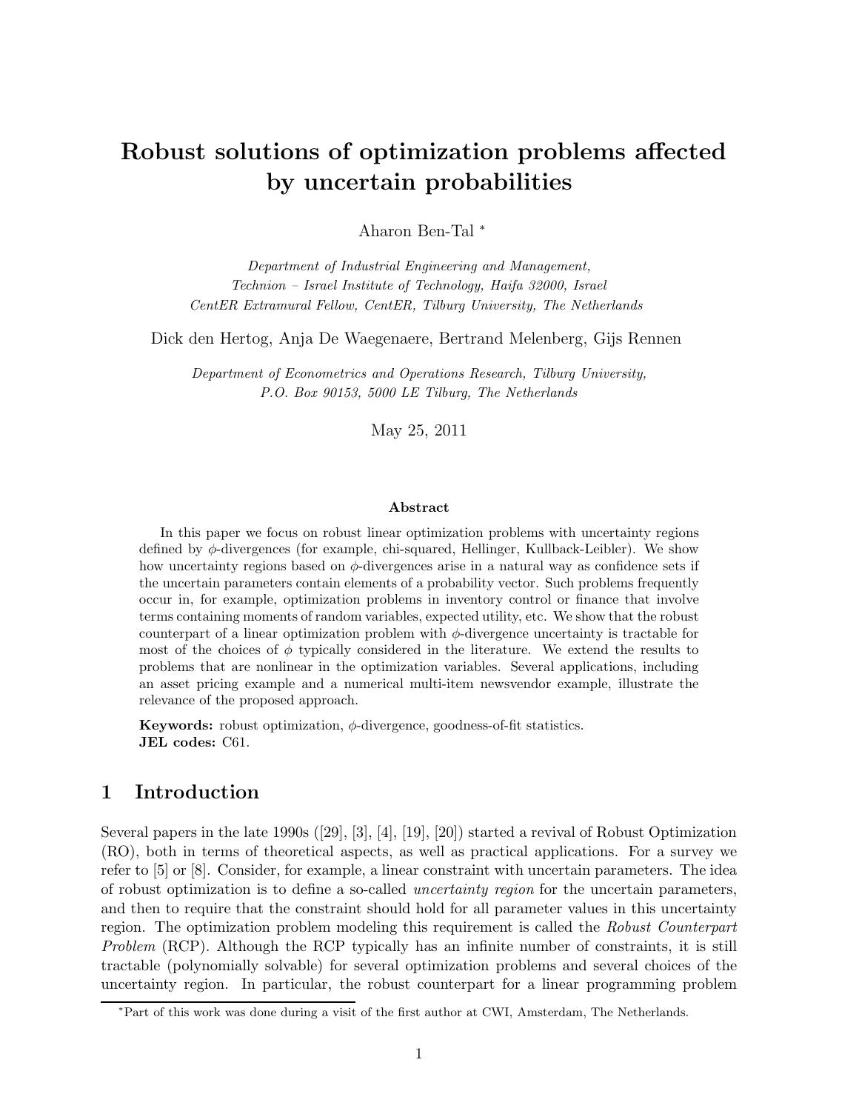# Robust solutions of optimization problems affected by uncertain probabilities

Aharon Ben-Tal <sup>∗</sup>

Department of Industrial Engineering and Management, Technion – Israel Institute of Technology, Haifa 32000, Israel CentER Extramural Fellow, CentER, Tilburg University, The Netherlands

Dick den Hertog, Anja De Waegenaere, Bertrand Melenberg, Gijs Rennen

Department of Econometrics and Operations Research, Tilburg University, P.O. Box 90153, 5000 LE Tilburg, The Netherlands

May 25, 2011

## Abstract

In this paper we focus on robust linear optimization problems with uncertainty regions defined by  $\phi$ -divergences (for example, chi-squared, Hellinger, Kullback-Leibler). We show how uncertainty regions based on  $\phi$ -divergences arise in a natural way as confidence sets if the uncertain parameters contain elements of a probability vector. Such problems frequently occur in, for example, optimization problems in inventory control or finance that involve terms containing moments of random variables, expected utility, etc. We show that the robust counterpart of a linear optimization problem with  $\phi$ -divergence uncertainty is tractable for most of the choices of  $\phi$  typically considered in the literature. We extend the results to problems that are nonlinear in the optimization variables. Several applications, including an asset pricing example and a numerical multi-item newsvendor example, illustrate the relevance of the proposed approach.

Keywords: robust optimization,  $\phi$ -divergence, goodness-of-fit statistics. JEL codes: C61.

## 1 Introduction

Several papers in the late 1990s ([29], [3], [4], [19], [20]) started a revival of Robust Optimization (RO), both in terms of theoretical aspects, as well as practical applications. For a survey we refer to [5] or [8]. Consider, for example, a linear constraint with uncertain parameters. The idea of robust optimization is to define a so-called uncertainty region for the uncertain parameters, and then to require that the constraint should hold for all parameter values in this uncertainty region. The optimization problem modeling this requirement is called the Robust Counterpart Problem (RCP). Although the RCP typically has an infinite number of constraints, it is still tractable (polynomially solvable) for several optimization problems and several choices of the uncertainty region. In particular, the robust counterpart for a linear programming problem

<sup>∗</sup>Part of this work was done during a visit of the first author at CWI, Amsterdam, The Netherlands.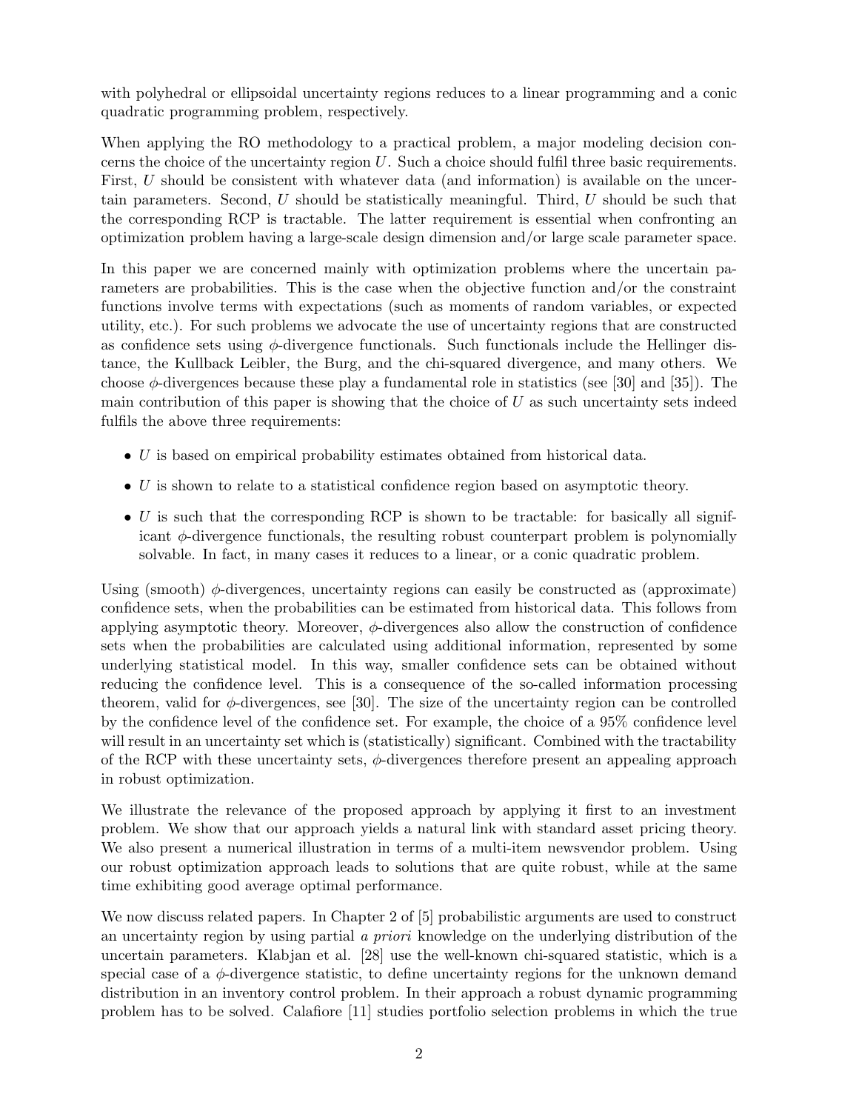with polyhedral or ellipsoidal uncertainty regions reduces to a linear programming and a conic quadratic programming problem, respectively.

When applying the RO methodology to a practical problem, a major modeling decision concerns the choice of the uncertainty region  $U$ . Such a choice should fulfil three basic requirements. First, U should be consistent with whatever data (and information) is available on the uncertain parameters. Second, U should be statistically meaningful. Third, U should be such that the corresponding RCP is tractable. The latter requirement is essential when confronting an optimization problem having a large-scale design dimension and/or large scale parameter space.

In this paper we are concerned mainly with optimization problems where the uncertain parameters are probabilities. This is the case when the objective function and/or the constraint functions involve terms with expectations (such as moments of random variables, or expected utility, etc.). For such problems we advocate the use of uncertainty regions that are constructed as confidence sets using  $\phi$ -divergence functionals. Such functionals include the Hellinger distance, the Kullback Leibler, the Burg, and the chi-squared divergence, and many others. We choose  $\phi$ -divergences because these play a fundamental role in statistics (see [30] and [35]). The main contribution of this paper is showing that the choice of  $U$  as such uncertainty sets indeed fulfils the above three requirements:

- U is based on empirical probability estimates obtained from historical data.
- $\bullet$  U is shown to relate to a statistical confidence region based on asymptotic theory.
- $\bullet$  U is such that the corresponding RCP is shown to be tractable: for basically all significant  $\phi$ -divergence functionals, the resulting robust counterpart problem is polynomially solvable. In fact, in many cases it reduces to a linear, or a conic quadratic problem.

Using (smooth)  $\phi$ -divergences, uncertainty regions can easily be constructed as (approximate) confidence sets, when the probabilities can be estimated from historical data. This follows from applying asymptotic theory. Moreover,  $\phi$ -divergences also allow the construction of confidence sets when the probabilities are calculated using additional information, represented by some underlying statistical model. In this way, smaller confidence sets can be obtained without reducing the confidence level. This is a consequence of the so-called information processing theorem, valid for  $\phi$ -divergences, see [30]. The size of the uncertainty region can be controlled by the confidence level of the confidence set. For example, the choice of a 95% confidence level will result in an uncertainty set which is (statistically) significant. Combined with the tractability of the RCP with these uncertainty sets,  $\phi$ -divergences therefore present an appealing approach in robust optimization.

We illustrate the relevance of the proposed approach by applying it first to an investment problem. We show that our approach yields a natural link with standard asset pricing theory. We also present a numerical illustration in terms of a multi-item newsvendor problem. Using our robust optimization approach leads to solutions that are quite robust, while at the same time exhibiting good average optimal performance.

We now discuss related papers. In Chapter 2 of [5] probabilistic arguments are used to construct an uncertainty region by using partial a priori knowledge on the underlying distribution of the uncertain parameters. Klabjan et al. [28] use the well-known chi-squared statistic, which is a special case of a  $\phi$ -divergence statistic, to define uncertainty regions for the unknown demand distribution in an inventory control problem. In their approach a robust dynamic programming problem has to be solved. Calafiore [11] studies portfolio selection problems in which the true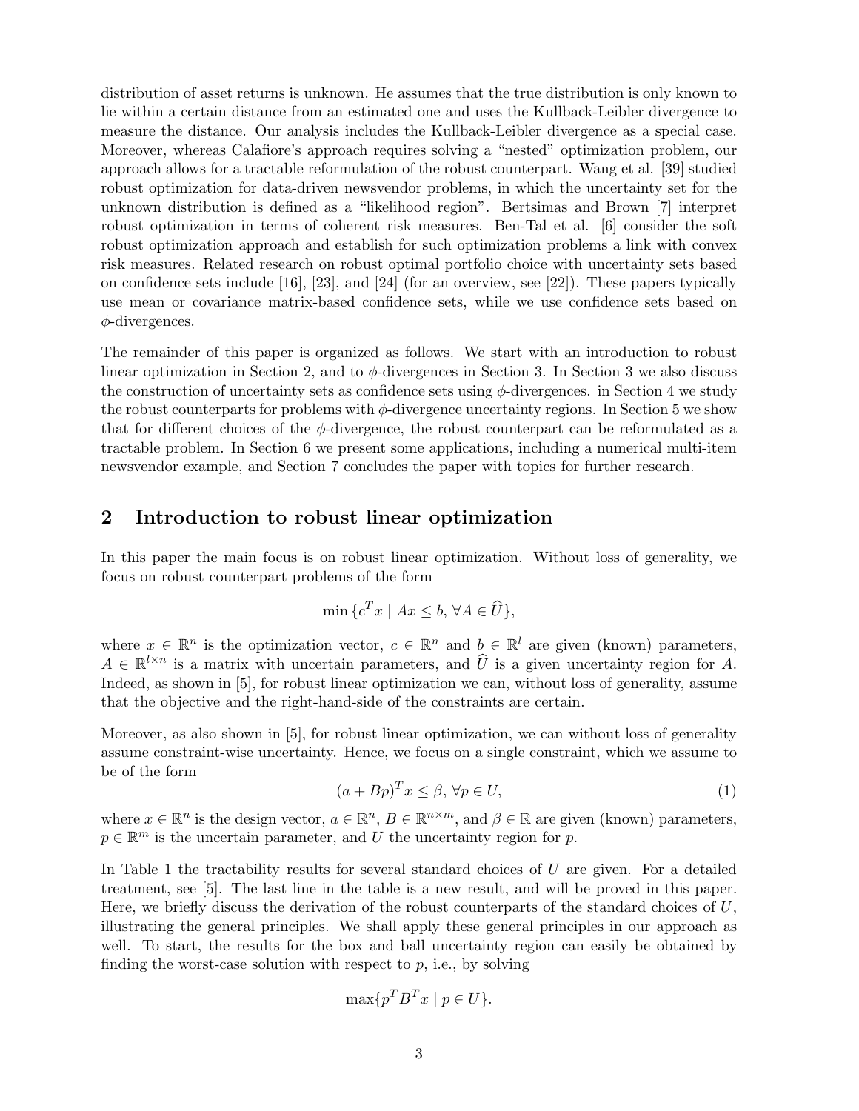distribution of asset returns is unknown. He assumes that the true distribution is only known to lie within a certain distance from an estimated one and uses the Kullback-Leibler divergence to measure the distance. Our analysis includes the Kullback-Leibler divergence as a special case. Moreover, whereas Calafiore's approach requires solving a "nested" optimization problem, our approach allows for a tractable reformulation of the robust counterpart. Wang et al. [39] studied robust optimization for data-driven newsvendor problems, in which the uncertainty set for the unknown distribution is defined as a "likelihood region". Bertsimas and Brown [7] interpret robust optimization in terms of coherent risk measures. Ben-Tal et al. [6] consider the soft robust optimization approach and establish for such optimization problems a link with convex risk measures. Related research on robust optimal portfolio choice with uncertainty sets based on confidence sets include [16], [23], and [24] (for an overview, see [22]). These papers typically use mean or covariance matrix-based confidence sets, while we use confidence sets based on  $\phi$ -divergences.

The remainder of this paper is organized as follows. We start with an introduction to robust linear optimization in Section 2, and to  $\phi$ -divergences in Section 3. In Section 3 we also discuss the construction of uncertainty sets as confidence sets using  $\phi$ -divergences. in Section 4 we study the robust counterparts for problems with  $\phi$ -divergence uncertainty regions. In Section 5 we show that for different choices of the  $\phi$ -divergence, the robust counterpart can be reformulated as a tractable problem. In Section 6 we present some applications, including a numerical multi-item newsvendor example, and Section 7 concludes the paper with topics for further research.

## 2 Introduction to robust linear optimization

In this paper the main focus is on robust linear optimization. Without loss of generality, we focus on robust counterpart problems of the form

$$
\min \{ c^T x \mid Ax \leq b, \,\forall A \in \widehat{U} \},
$$

where  $x \in \mathbb{R}^n$  is the optimization vector,  $c \in \mathbb{R}^n$  and  $b \in \mathbb{R}^l$  are given (known) parameters,  $A \in \mathbb{R}^{l \times n}$  is a matrix with uncertain parameters, and  $\hat{U}$  is a given uncertainty region for A. Indeed, as shown in [5], for robust linear optimization we can, without loss of generality, assume that the objective and the right-hand-side of the constraints are certain.

Moreover, as also shown in [5], for robust linear optimization, we can without loss of generality assume constraint-wise uncertainty. Hence, we focus on a single constraint, which we assume to be of the form

$$
(a + Bp)^T x \le \beta, \forall p \in U,
$$
\n<sup>(1)</sup>

where  $x \in \mathbb{R}^n$  is the design vector,  $a \in \mathbb{R}^n$ ,  $B \in \mathbb{R}^{n \times m}$ , and  $\beta \in \mathbb{R}$  are given (known) parameters,  $p \in \mathbb{R}^m$  is the uncertain parameter, and U the uncertainty region for p.

In Table 1 the tractability results for several standard choices of  $U$  are given. For a detailed treatment, see [5]. The last line in the table is a new result, and will be proved in this paper. Here, we briefly discuss the derivation of the robust counterparts of the standard choices of  $U$ , illustrating the general principles. We shall apply these general principles in our approach as well. To start, the results for the box and ball uncertainty region can easily be obtained by finding the worst-case solution with respect to  $p$ , i.e., by solving

$$
\max\{p^T B^T x \mid p \in U\}.
$$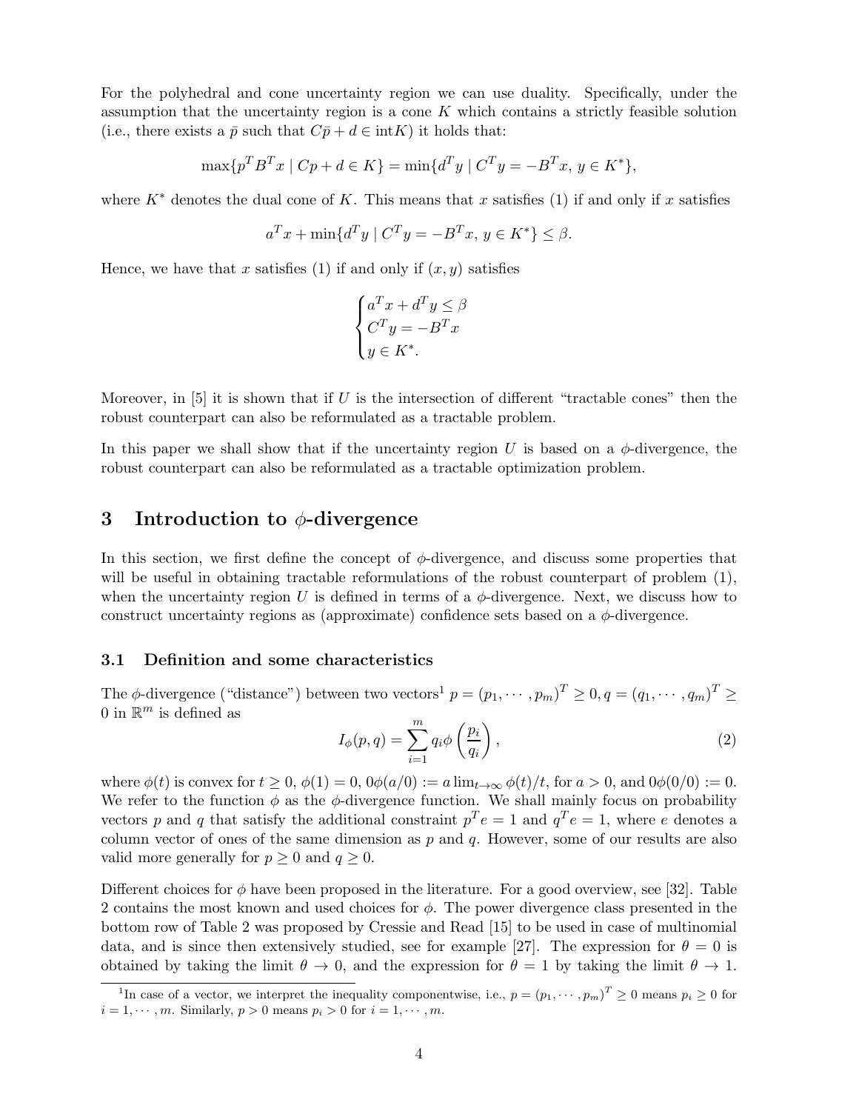For the polyhedral and cone uncertainty region we can use duality. Specifically, under the assumption that the uncertainty region is a cone  $K$  which contains a strictly feasible solution (i.e., there exists a  $\bar{p}$  such that  $C\bar{p}+d \in \text{int}K$ ) it holds that:

$$
\max\{p^T B^T x \mid C p + d \in K\} = \min\{d^T y \mid C^T y = -B^T x, y \in K^*\},\
$$

where  $K^*$  denotes the dual cone of K. This means that x satisfies (1) if and only if x satisfies

$$
a^T x + \min\{d^T y \mid C^T y = -B^T x, y \in K^*\}\leq \beta.
$$

Hence, we have that x satisfies (1) if and only if  $(x, y)$  satisfies

$$
\begin{cases}\na^T x + d^T y \le \beta \\
C^T y = -B^T x \\
y \in K^*.\n\end{cases}
$$

Moreover, in [5] it is shown that if U is the intersection of different "tractable cones" then the robust counterpart can also be reformulated as a tractable problem.

In this paper we shall show that if the uncertainty region U is based on a  $\phi$ -divergence, the robust counterpart can also be reformulated as a tractable optimization problem.

## 3 Introduction to  $\phi$ -divergence

In this section, we first define the concept of  $\phi$ -divergence, and discuss some properties that will be useful in obtaining tractable reformulations of the robust counterpart of problem  $(1)$ , when the uncertainty region U is defined in terms of a  $\phi$ -divergence. Next, we discuss how to construct uncertainty regions as (approximate) confidence sets based on a  $\phi$ -divergence.

### 3.1 Definition and some characteristics

The  $\phi$ -divergence ("distance") between two vectors<sup>1</sup>  $p = (p_1, \dots, p_m)^T \geq 0, q = (q_1, \dots, q_m)^T \geq 0$ 0 in  $\mathbb{R}^m$  is defined as

$$
I_{\phi}(p,q) = \sum_{i=1}^{m} q_i \phi\left(\frac{p_i}{q_i}\right),\tag{2}
$$

where  $\phi(t)$  is convex for  $t \geq 0$ ,  $\phi(1) = 0$ ,  $0\phi(a/0) := a \lim_{t \to \infty} \phi(t)/t$ , for  $a > 0$ , and  $0\phi(0/0) := 0$ . We refer to the function  $\phi$  as the  $\phi$ -divergence function. We shall mainly focus on probability vectors p and q that satisfy the additional constraint  $p^T e = 1$  and  $q^T e = 1$ , where e denotes a column vector of ones of the same dimension as  $p$  and  $q$ . However, some of our results are also valid more generally for  $p \geq 0$  and  $q \geq 0$ .

Different choices for  $\phi$  have been proposed in the literature. For a good overview, see [32]. Table 2 contains the most known and used choices for  $\phi$ . The power divergence class presented in the bottom row of Table 2 was proposed by Cressie and Read [15] to be used in case of multinomial data, and is since then extensively studied, see for example [27]. The expression for  $\theta = 0$  is obtained by taking the limit  $\theta \to 0$ , and the expression for  $\theta = 1$  by taking the limit  $\theta \to 1$ .

<sup>&</sup>lt;sup>1</sup>In case of a vector, we interpret the inequality componentwise, i.e.,  $p = (p_1, \dots, p_m)^T \geq 0$  means  $p_i \geq 0$  for  $i = 1, \dots, m$ . Similarly,  $p > 0$  means  $p_i > 0$  for  $i = 1, \dots, m$ .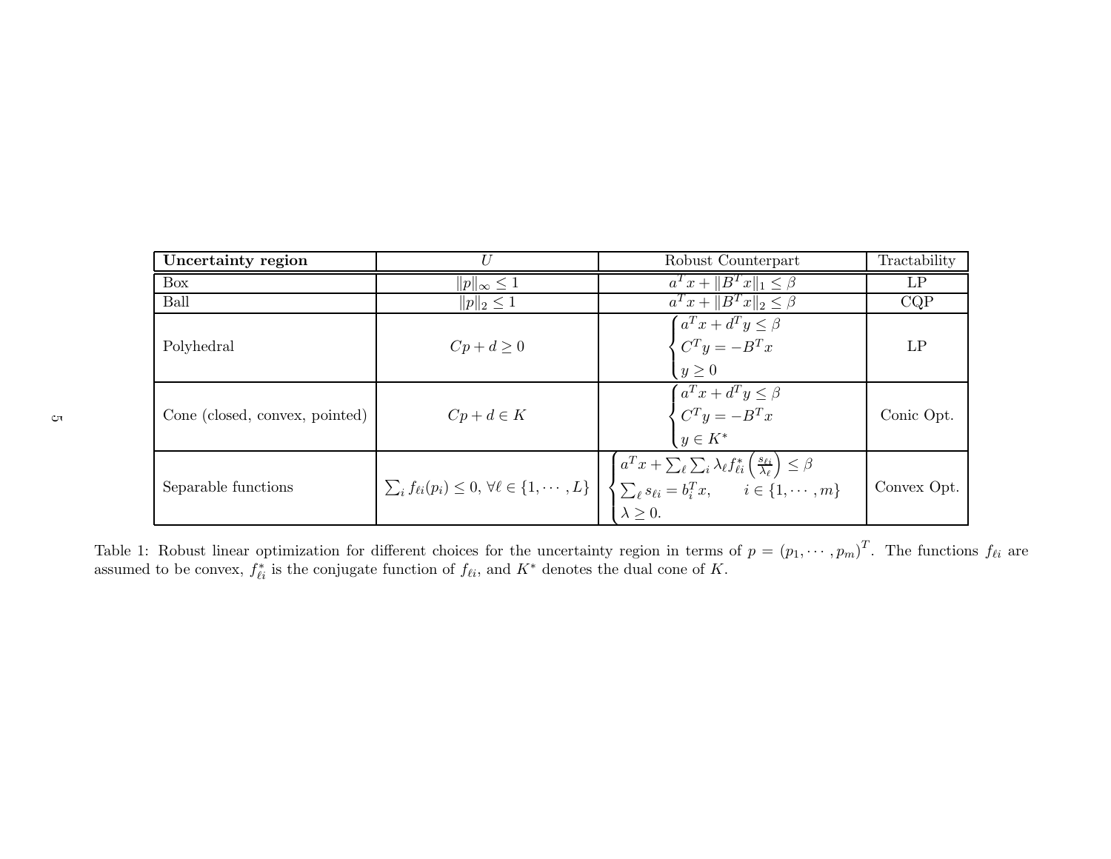| Uncertainty region             | I <sub>J</sub>          | Robust Counterpart                                                                                                                                                                                                                                                                                                            | Tractability |
|--------------------------------|-------------------------|-------------------------------------------------------------------------------------------------------------------------------------------------------------------------------------------------------------------------------------------------------------------------------------------------------------------------------|--------------|
| Box                            | $  p  _{\infty} \leq 1$ | $a^T x +   B^T x  _1 \leq \beta$                                                                                                                                                                                                                                                                                              | LP           |
| Ball                           | $  p  _2 \leq 1$        | $a^T x +   B^T x  _2 \leq \beta$                                                                                                                                                                                                                                                                                              | CQP          |
| Polyhedral                     | $Cp+d\geq 0$            | $\begin{cases} a^T x + d^T y \leq \beta \\ C^T y = -B^T x \end{cases}$<br>$y \geq 0$                                                                                                                                                                                                                                          | LP           |
| Cone (closed, convex, pointed) | $Cp + d \in K$          | $\begin{cases} a^T x + d^T y \leq \beta \\ C^T y = -B^T x \\ y \in K^* \end{cases}$                                                                                                                                                                                                                                           | Conic Opt.   |
| Separable functions            |                         | $\sum_{i} f_{\ell i}(p_i) \leq 0, \forall \ell \in \{1, \cdots, L\}$<br>$\left\{ \n\begin{cases} \n\overbrace{a^T x + \sum_{\ell} \sum_{i} \lambda_{\ell} f_{\ell i}^* \left(\frac{s_{\ell i}}{\lambda_{\ell}}\right) \leq \beta} \\ \n\sum_{\ell} s_{\ell i} = b_i^T x, \quad i \in \{1, \cdots, m\} \n\end{cases} \right\}$ | Convex Opt.  |

Table 1: Robust linear optimization for different choices for the uncertainty region in terms of  $p = (p_1, \dots, p_m)$ Table 1: Robust linear optimization for different choices for the uncertainty region in terms of  $p = (p_1, \dots, p_m)^T$ . The functions  $f_{\ell i}$  are assumed to be convex,  $f_{\ell i}^*$  is the conjugate function of  $f_{\ell i}$ , and  $K^$ <sup>\*</sup>/<sub> $\ell_i$ </sub> is the conjugate function of  $f_{\ell_i}$ , and  $K^*$  denotes the dual cone of K.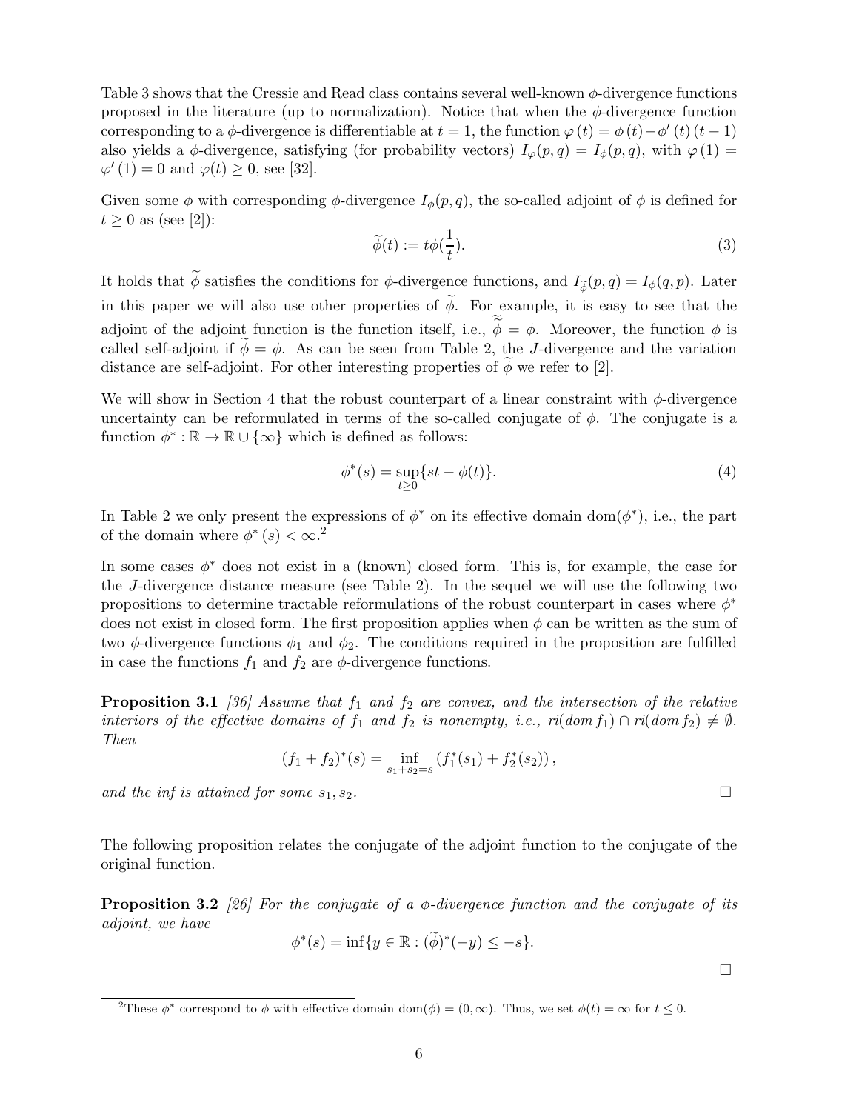Table 3 shows that the Cressie and Read class contains several well-known  $\phi$ -divergence functions proposed in the literature (up to normalization). Notice that when the  $\phi$ -divergence function corresponding to a  $\phi$ -divergence is differentiable at  $t = 1$ , the function  $\varphi(t) = \phi(t) - \phi'(t) (t - 1)$ also yields a  $\phi$ -divergence, satisfying (for probability vectors)  $I_{\varphi}(p,q) = I_{\phi}(p,q)$ , with  $\varphi(1) =$  $\varphi'(1) = 0$  and  $\varphi(t) \ge 0$ , see [32].

Given some  $\phi$  with corresponding  $\phi$ -divergence  $I_{\phi}(p,q)$ , the so-called adjoint of  $\phi$  is defined for  $t \geq 0$  as (see [2]):

$$
\widetilde{\phi}(t) := t\phi(\frac{1}{t}).\tag{3}
$$

It holds that  $\phi$  satisfies the conditions for  $\phi$ -divergence functions, and  $I_{\widetilde{\phi}}(p,q) = I_{\phi}(q,p)$ . Later in this paper we will also use other properties of  $\widetilde{\phi}$ . For example, it is easy to see that the adjoint of the adjoint function is the function itself, i.e.,  $\phi = \phi$ . Moreover, the function  $\phi$  is called self-adjoint if  $\phi = \phi$ . As can be seen from Table 2, the J-divergence and the variation distance are self-adjoint. For other interesting properties of  $\phi$  we refer to [2].

We will show in Section 4 that the robust counterpart of a linear constraint with  $\phi$ -divergence uncertainty can be reformulated in terms of the so-called conjugate of  $\phi$ . The conjugate is a function  $\phi^* : \mathbb{R} \to \mathbb{R} \cup \{\infty\}$  which is defined as follows:

$$
\phi^*(s) = \sup_{t \ge 0} \{ st - \phi(t) \}. \tag{4}
$$

In Table 2 we only present the expressions of  $\phi^*$  on its effective domain dom $(\phi^*)$ , i.e., the part of the domain where  $\phi^*(s) < \infty$ <sup>2</sup>

In some cases  $\phi^*$  does not exist in a (known) closed form. This is, for example, the case for the J-divergence distance measure (see Table 2). In the sequel we will use the following two propositions to determine tractable reformulations of the robust counterpart in cases where  $\phi^*$ does not exist in closed form. The first proposition applies when  $\phi$  can be written as the sum of two  $\phi$ -divergence functions  $\phi_1$  and  $\phi_2$ . The conditions required in the proposition are fulfilled in case the functions  $f_1$  and  $f_2$  are  $\phi$ -divergence functions.

**Proposition 3.1** [36] Assume that  $f_1$  and  $f_2$  are convex, and the intersection of the relative interiors of the effective domains of  $f_1$  and  $f_2$  is nonempty, i.e.,  $ri(dom f_1) \cap ri(dom f_2) \neq \emptyset$ . Then

$$
(f_1 + f_2)^*(s) = \inf_{s_1 + s_2 = s} (f_1^*(s_1) + f_2^*(s_2)),
$$

and the inf is attained for some  $s_1, s_2$ .

The following proposition relates the conjugate of the adjoint function to the conjugate of the original function.

**Proposition 3.2** [26] For the conjugate of a  $\phi$ -divergence function and the conjugate of its adjoint, we have

$$
\phi^*(s) = \inf \{ y \in \mathbb{R} : (\widetilde{\phi})^*(-y) \leq -s \}.
$$

<sup>&</sup>lt;sup>2</sup>These  $\phi^*$  correspond to  $\phi$  with effective domain dom( $\phi$ ) = (0,  $\infty$ ). Thus, we set  $\phi(t) = \infty$  for  $t \leq 0$ .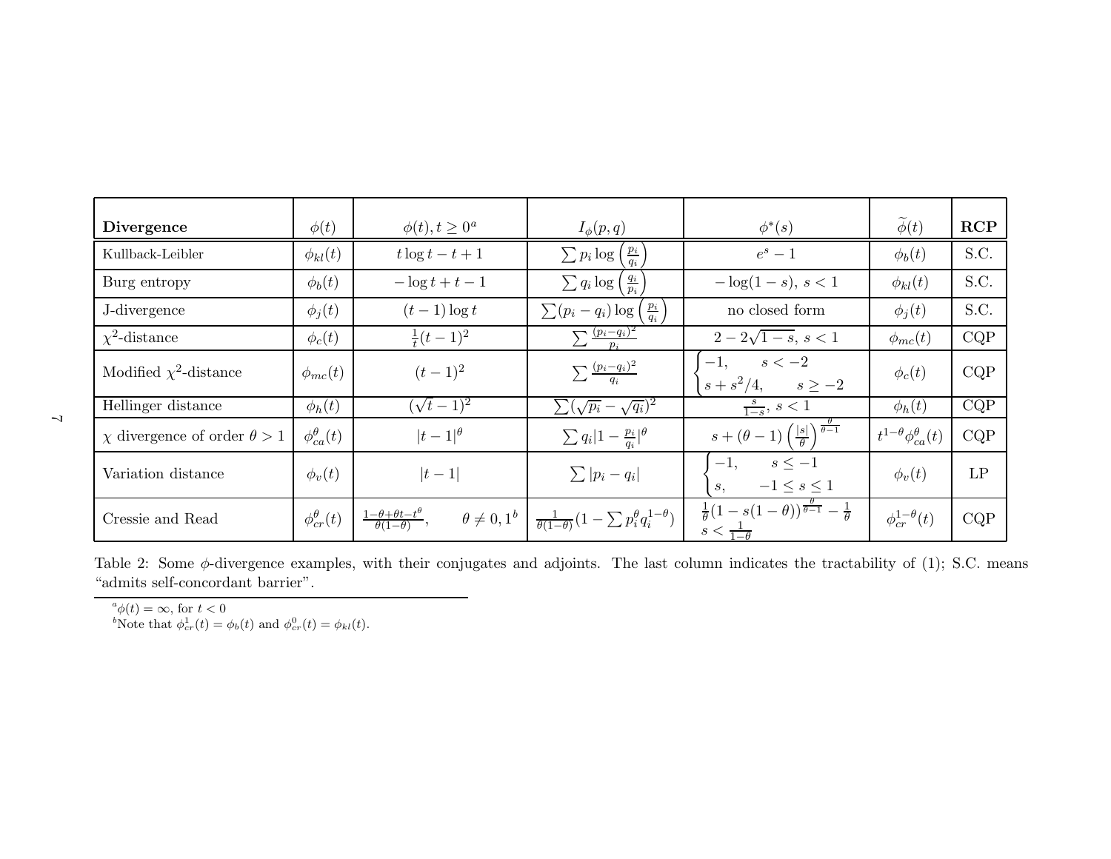| <b>Divergence</b>                       | $\phi(t)$                                                                                                   | $\phi(t), t \geq 0^a$ | $I_{\phi}(p,q)$                                                 | $\phi^*(s)$                                                                                         | $\phi(t)$                           | RCP  |
|-----------------------------------------|-------------------------------------------------------------------------------------------------------------|-----------------------|-----------------------------------------------------------------|-----------------------------------------------------------------------------------------------------|-------------------------------------|------|
| Kullback-Leibler                        | $\phi_{kl}(t)$                                                                                              | $t \log t - t + 1$    | $\frac{p_i}{q_i}$<br>$\sum p_i \log$                            | $e^s-1$                                                                                             | $\phi_b(t)$                         | S.C. |
| Burg entropy                            | $\phi_b(t)$                                                                                                 | $-\log t + t - 1$     | $\frac{q_i}{p_i}$<br>$\sum q_i \log$                            | $-\log(1-s), s < 1$                                                                                 | $\phi_{kl}(t)$                      | S.C. |
| J-divergence                            | $\phi_j(t)$                                                                                                 | $(t-1)\log t$         | $\frac{p_i}{q_i}$<br>$\sum (p_i - q_i) \log$                    | no closed form                                                                                      | $\phi_i(t)$                         | S.C. |
| $\chi^2$ -distance                      | $\phi_c(t)$                                                                                                 | $\frac{1}{t}(t-1)^2$  | $\sum \frac{(p_i-q_i)^2}{p_i}$                                  | $2-2\sqrt{1-s}$ , $s < 1$                                                                           | $\phi_{mc}(t)$                      | CQP  |
| Modified $\chi^2$ -distance             | $\phi_{mc}(t)$                                                                                              | $(t-1)^2$             | $\sum \frac{(p_i-q_i)^2}{q_i}$                                  | $s < -2$<br>$-1.$<br>$s + s^2/4$ ,<br>$s\geq -2$                                                    | $\phi_c(t)$                         | CQP  |
| Hellinger distance                      | $\phi_h(t)$                                                                                                 | $(\sqrt{t}-1)^2$      | $\sum (\sqrt{p_i} - \sqrt{q_i})^2$                              | $\frac{s}{1-s}, s < 1$                                                                              | $\phi_h(t)$                         | CQP  |
| $\chi$ divergence of order $\theta > 1$ | $\phi_{ca}^{\theta}(t)$                                                                                     | $ t-1 ^{\theta}$      | $\sum q_i  1 - \frac{p_i}{q_i} ^{\theta}$                       | $\theta-1$<br>$s+(\theta-1)\left(\frac{ s }{\theta}\right)$                                         | $t^{1-\theta}\phi_{ca}^{\theta}(t)$ | CQP  |
| Variation distance                      | $\phi_v(t)$                                                                                                 | $ t-1 $               | $\sum  p_i - q_i $                                              | $s\leq -1$<br>$-1$ ,<br>$-1 \leq s \leq 1$<br>$s$ .                                                 | $\phi_v(t)$                         | LP   |
| Cressie and Read                        | $\frac{1-\theta+\theta t-t^{\theta}}{\theta(1-\theta)},$<br>$\phi_{cr}^{\theta}(t)$<br>$\theta \neq 0, 1^b$ |                       | $\frac{1}{\theta(1-\theta)}(1-\sum p_i^{\theta}q_i^{1-\theta})$ | $\frac{1}{\theta}(1-s(1-\theta))^{\frac{v}{\theta-1}}-\frac{1}{\theta}$<br>$s < \frac{1}{1-\theta}$ | $\phi_{cr}^{1-\theta}(t)$           | CQP  |

Table 2: Some  $\phi$ -divergence examples, with their conjugates and adjoints. The last column indicates the tractability of (1); S.C. means "admits self-concordant barrier".

 $a^a \phi(t) = \infty$ , for  $t < 0$ 

bNote that  $\phi_{cr}^1(t) = \phi_b(t)$  and  $\phi_{cr}^0(t) = \phi_{kl}(t)$ .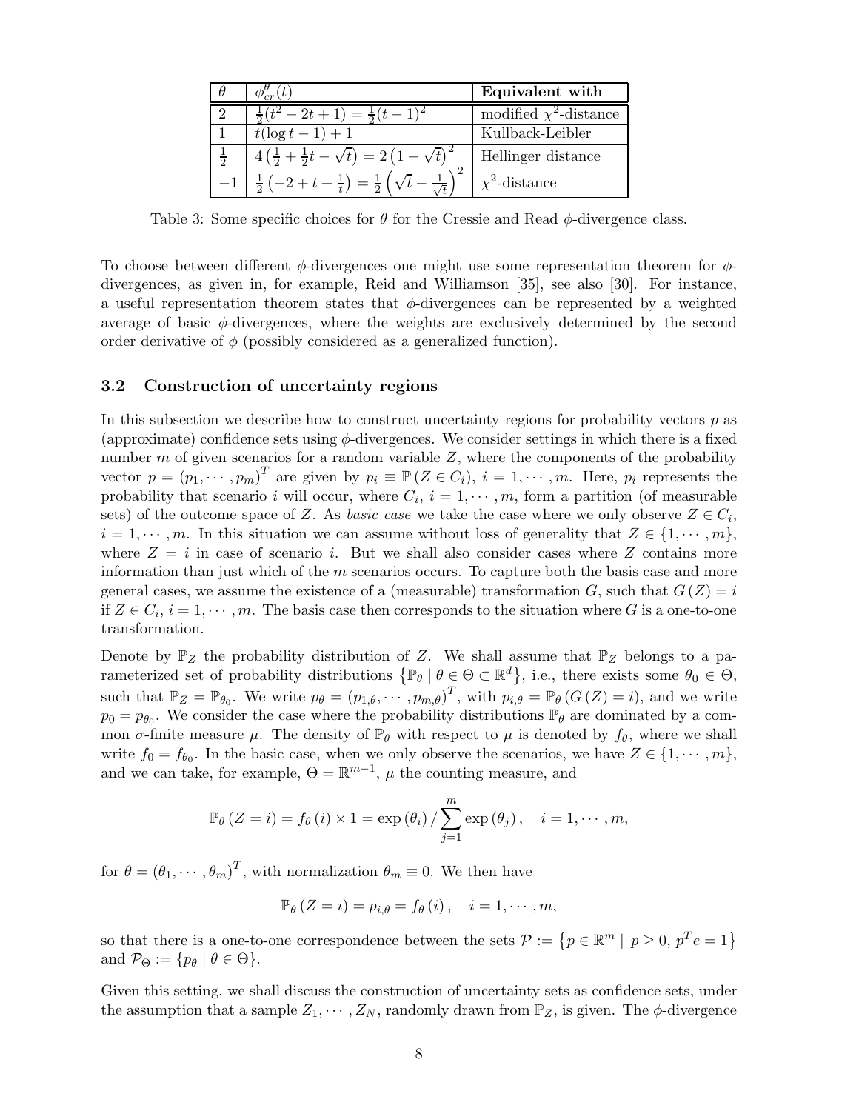| $\phi_{cr}^{\nu}(t)$                                                                 | Equivalent with             |
|--------------------------------------------------------------------------------------|-----------------------------|
| $(t^2-2t+1)=\frac{1}{2}(t-1)$                                                        | modified $\chi^2$ -distance |
| $t(\log t - 1) + 1$                                                                  | Kullback-Leibler            |
| $4\left(\frac{1}{2} + \frac{1}{2}t - \sqrt{t}\right) = 2\left(1 - \sqrt{t}\right)^2$ | Hellinger distance          |
| $\frac{1}{2}(-2+t+\frac{1}{t})=\frac{1}{2}(\sqrt{t}-1)$                              | $\chi^2$ -distance          |

Table 3: Some specific choices for  $\theta$  for the Cressie and Read  $\phi$ -divergence class.

To choose between different  $\phi$ -divergences one might use some representation theorem for  $\phi$ divergences, as given in, for example, Reid and Williamson [35], see also [30]. For instance, a useful representation theorem states that  $\phi$ -divergences can be represented by a weighted average of basic  $\phi$ -divergences, where the weights are exclusively determined by the second order derivative of  $\phi$  (possibly considered as a generalized function).

## 3.2 Construction of uncertainty regions

In this subsection we describe how to construct uncertainty regions for probability vectors  $p$  as (approximate) confidence sets using  $\phi$ -divergences. We consider settings in which there is a fixed number m of given scenarios for a random variable  $Z$ , where the components of the probability vector  $p = (p_1, \dots, p_m)^T$  are given by  $p_i \equiv \mathbb{P}(Z \in C_i)$ ,  $i = 1, \dots, m$ . Here,  $p_i$  represents the probability that scenario i will occur, where  $C_i$ ,  $i = 1, \dots, m$ , form a partition (of measurable sets) of the outcome space of Z. As *basic case* we take the case where we only observe  $Z \in C_i$ ,  $i = 1, \dots, m$ . In this situation we can assume without loss of generality that  $Z \in \{1, \dots, m\}$ , where  $Z = i$  in case of scenario i. But we shall also consider cases where Z contains more information than just which of the  $m$  scenarios occurs. To capture both the basis case and more general cases, we assume the existence of a (measurable) transformation  $G$ , such that  $G(Z) = i$ if  $Z \in C_i$ ,  $i = 1, \dots, m$ . The basis case then corresponds to the situation where G is a one-to-one transformation.

Denote by  $\mathbb{P}_Z$  the probability distribution of Z. We shall assume that  $\mathbb{P}_Z$  belongs to a parameterized set of probability distributions  $\{\mathbb{P}_{\theta} \mid \theta \in \Theta \subset \mathbb{R}^{d}\},$  i.e., there exists some  $\theta_{0} \in \Theta$ , such that  $\mathbb{P}_Z = \mathbb{P}_{\theta_0}$ . We write  $p_\theta = (p_{1,\theta}, \dots, p_{m,\theta})^T$ , with  $p_{i,\theta} = \mathbb{P}_{\theta} (G(Z) = i)$ , and we write  $p_0 = p_{\theta_0}$ . We consider the case where the probability distributions  $\mathbb{P}_{\theta}$  are dominated by a common  $\sigma$ -finite measure  $\mu$ . The density of  $\mathbb{P}_{\theta}$  with respect to  $\mu$  is denoted by  $f_{\theta}$ , where we shall write  $f_0 = f_{\theta_0}$ . In the basic case, when we only observe the scenarios, we have  $Z \in \{1, \dots, m\}$ , and we can take, for example,  $\Theta = \mathbb{R}^{m-1}$ ,  $\mu$  the counting measure, and

$$
\mathbb{P}_{\theta}\left(Z=i\right) = f_{\theta}\left(i\right) \times 1 = \exp\left(\theta_i\right) / \sum_{j=1}^{m} \exp\left(\theta_j\right), \quad i = 1, \cdots, m,
$$

for  $\theta = (\theta_1, \dots, \theta_m)^T$ , with normalization  $\theta_m \equiv 0$ . We then have

$$
\mathbb{P}_{\theta}\left(Z=i\right)=p_{i,\theta}=f_{\theta}\left(i\right),\quad i=1,\cdots,m,
$$

so that there is a one-to-one correspondence between the sets  $P := \{p \in \mathbb{R}^m \mid p \ge 0, p^T e = 1\}$ and  $\mathcal{P}_{\Theta} := \{p_{\theta} \mid \theta \in \Theta\}.$ 

Given this setting, we shall discuss the construction of uncertainty sets as confidence sets, under the assumption that a sample  $Z_1, \dots, Z_N$ , randomly drawn from  $\mathbb{P}_Z$ , is given. The  $\phi$ -divergence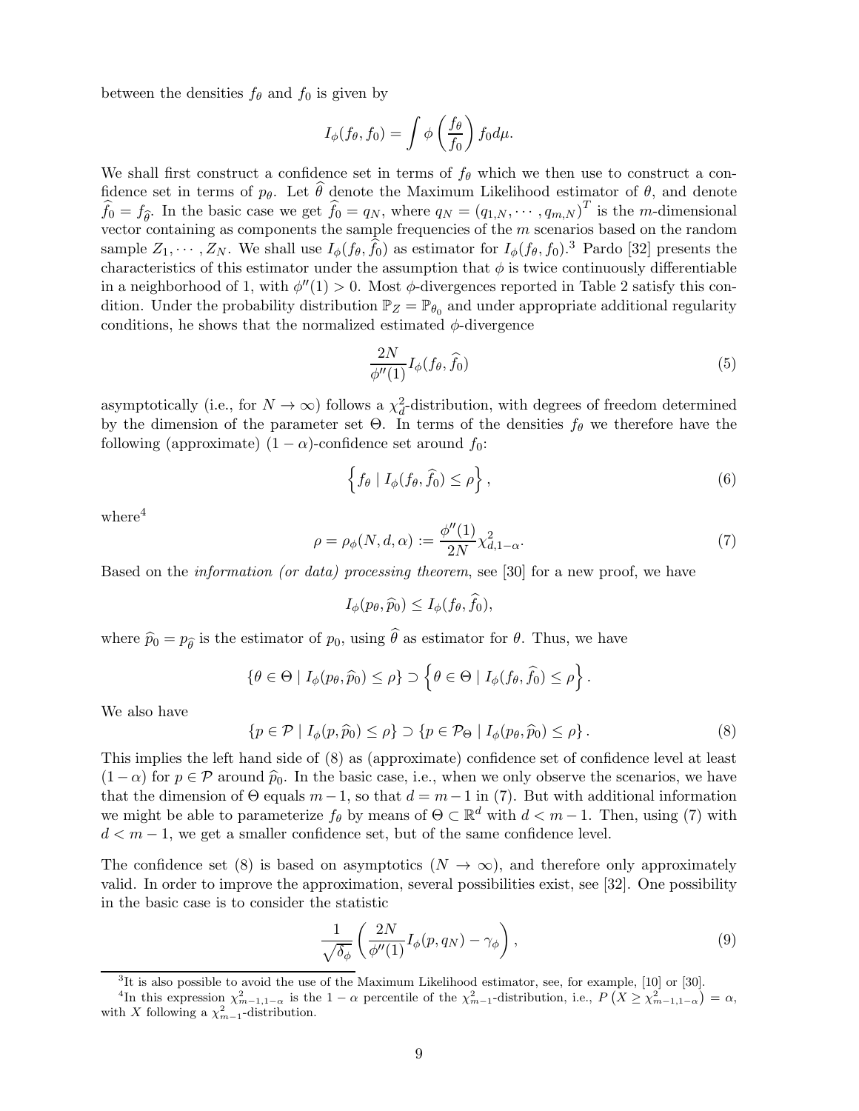between the densities  $f_{\theta}$  and  $f_0$  is given by

$$
I_{\phi}(f_{\theta}, f_0) = \int \phi \left(\frac{f_{\theta}}{f_0}\right) f_0 d\mu.
$$

We shall first construct a confidence set in terms of  $f_{\theta}$  which we then use to construct a confidence set in terms of  $p_{\theta}$ . Let  $\hat{\theta}$  denote the Maximum Likelihood estimator of  $\theta$ , and denote  $\widehat{f}_0 = f_{\widehat{\theta}}$ . In the basic case we get  $\widehat{f}_0 = q_N$ , where  $q_N = (q_{1,N}, \dots, q_{m,N})^T$  is the *m*-dimensional vector containing as components the sample frequencies of the  $m$  scenarios based on the random sample  $Z_1, \cdots, Z_N$ . We shall use  $I_\phi(f_\theta, \hat{f}_0)$  as estimator for  $I_\phi(f_\theta, f_0)$ .<sup>3</sup> Pardo [32] presents the characteristics of this estimator under the assumption that  $\phi$  is twice continuously differentiable in a neighborhood of 1, with  $\phi''(1) > 0$ . Most  $\phi$ -divergences reported in Table 2 satisfy this condition. Under the probability distribution  $\mathbb{P}_Z = \mathbb{P}_{\theta_0}$  and under appropriate additional regularity conditions, he shows that the normalized estimated  $\phi$ -divergence

$$
\frac{2N}{\phi''(1)} I_{\phi}(f_{\theta}, \hat{f}_0) \tag{5}
$$

asymptotically (i.e., for  $N \to \infty$ ) follows a  $\chi^2_d$ -distribution, with degrees of freedom determined by the dimension of the parameter set  $\Theta$ . In terms of the densities  $f_{\theta}$  we therefore have the following (approximate)  $(1 - \alpha)$ -confidence set around  $f_0$ :

$$
\left\{ f_{\theta} \mid I_{\phi}(f_{\theta}, \widehat{f}_0) \le \rho \right\},\tag{6}
$$

.

where $4$ 

$$
\rho = \rho_{\phi}(N, d, \alpha) := \frac{\phi''(1)}{2N} \chi^2_{d, 1 - \alpha}.
$$
\n(7)

Based on the information (or data) processing theorem, see [30] for a new proof, we have

$$
I_{\phi}(p_{\theta},\widehat{p}_0) \leq I_{\phi}(f_{\theta},\widehat{f}_0),
$$

where  $\hat{p}_0 = p_{\hat{\theta}}$  is the estimator of  $p_0$ , using  $\hat{\theta}$  as estimator for  $\theta$ . Thus, we have

$$
\{\theta \in \Theta \mid I_{\phi}(p_{\theta}, \widehat{p}_0) \leq \rho\} \supset \left\{\theta \in \Theta \mid I_{\phi}(f_{\theta}, \widehat{f}_0) \leq \rho\right\}
$$

We also have

$$
\{p \in \mathcal{P} \mid I_{\phi}(p, \widehat{p}_0) \leq \rho\} \supset \{p \in \mathcal{P}_{\Theta} \mid I_{\phi}(p_{\theta}, \widehat{p}_0) \leq \rho\}.
$$
\n
$$
(8)
$$

This implies the left hand side of (8) as (approximate) confidence set of confidence level at least  $(1 - \alpha)$  for  $p \in \mathcal{P}$  around  $\hat{p}_0$ . In the basic case, i.e., when we only observe the scenarios, we have that the dimension of  $\Theta$  equals  $m-1$ , so that  $d = m-1$  in (7). But with additional information we might be able to parameterize  $f_{\theta}$  by means of  $\Theta \subset \mathbb{R}^d$  with  $d < m - 1$ . Then, using (7) with  $d < m - 1$ , we get a smaller confidence set, but of the same confidence level.

The confidence set (8) is based on asymptotics  $(N \to \infty)$ , and therefore only approximately valid. In order to improve the approximation, several possibilities exist, see [32]. One possibility in the basic case is to consider the statistic

$$
\frac{1}{\sqrt{\delta_{\phi}}} \left( \frac{2N}{\phi''(1)} I_{\phi}(p, q_N) - \gamma_{\phi} \right), \tag{9}
$$

 ${}^{3}$ It is also possible to avoid the use of the Maximum Likelihood estimator, see, for example, [10] or [30].

<sup>&</sup>lt;sup>4</sup>In this expression  $\chi^2_{m-1,1-\alpha}$  is the  $1-\alpha$  percentile of the  $\chi^2_{m-1}$ -distribution, i.e.,  $P(X \geq \chi^2_{m-1,1-\alpha}) = \alpha$ , with X following a  $\chi^2_{m-1}$ -distribution.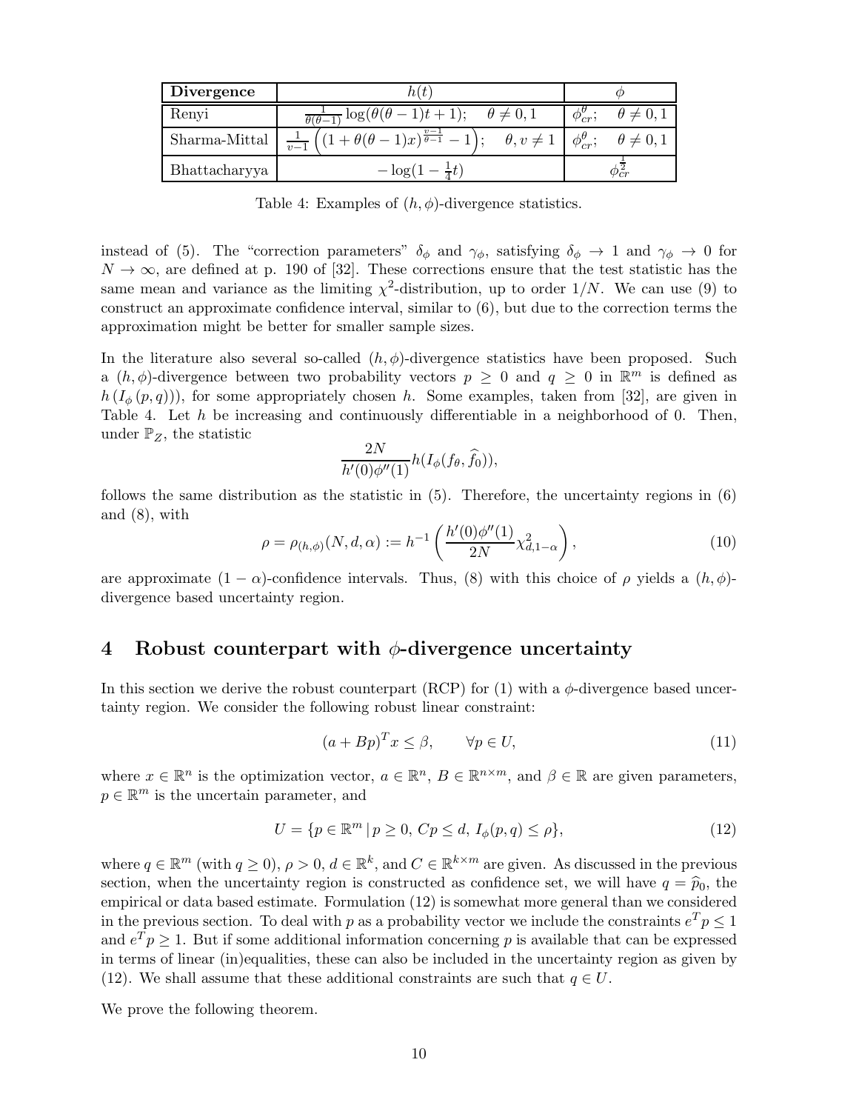| <b>Divergence</b> |                                                                              |                                                                    |  |  |
|-------------------|------------------------------------------------------------------------------|--------------------------------------------------------------------|--|--|
| Renyi             | $\frac{1}{\theta(\theta-1)}\log(\theta(\theta-1)t+1); \quad \theta \neq 0,1$ | $\theta \neq 0,1$<br>$\phi_{cr}^b$                                 |  |  |
| Sharma-Mittal     | $\frac{1}{v-1}\left((1+\theta(\theta-1)x)^{\frac{v-1}{\theta-1}}-1\right);$  | $\theta, v \neq 1 \mid \phi_{cr}^{\theta}; \quad \theta \neq 0, 1$ |  |  |
| Bhattacharyya     | $-\log(1-\frac{1}{4}t)$                                                      |                                                                    |  |  |

Table 4: Examples of  $(h, \phi)$ -divergence statistics.

instead of (5). The "correction parameters"  $\delta_{\phi}$  and  $\gamma_{\phi}$ , satisfying  $\delta_{\phi} \to 1$  and  $\gamma_{\phi} \to 0$  for  $N \to \infty$ , are defined at p. 190 of [32]. These corrections ensure that the test statistic has the same mean and variance as the limiting  $\chi^2$ -distribution, up to order  $1/N$ . We can use (9) to construct an approximate confidence interval, similar to (6), but due to the correction terms the approximation might be better for smaller sample sizes.

In the literature also several so-called  $(h, \phi)$ -divergence statistics have been proposed. Such a  $(h, \phi)$ -divergence between two probability vectors  $p \geq 0$  and  $q \geq 0$  in  $\mathbb{R}^m$  is defined as  $h(I_{\phi}(p,q))$ , for some appropriately chosen h. Some examples, taken from [32], are given in Table 4. Let  $h$  be increasing and continuously differentiable in a neighborhood of 0. Then, under  $\mathbb{P}_Z$ , the statistic

$$
\frac{2N}{h'(0)\phi''(1)}h(I_\phi(f_\theta,\widehat{f}_0)),
$$

follows the same distribution as the statistic in (5). Therefore, the uncertainty regions in (6) and (8), with

$$
\rho = \rho_{(h,\phi)}(N,d,\alpha) := h^{-1}\left(\frac{h'(0)\phi''(1)}{2N}\chi^2_{d,1-\alpha}\right),\tag{10}
$$

are approximate  $(1 - \alpha)$ -confidence intervals. Thus, (8) with this choice of  $\rho$  yields a  $(h, \phi)$ divergence based uncertainty region.

## 4 Robust counterpart with  $\phi$ -divergence uncertainty

In this section we derive the robust counterpart (RCP) for (1) with a  $\phi$ -divergence based uncertainty region. We consider the following robust linear constraint:

$$
(a + Bp)^T x \le \beta, \qquad \forall p \in U,
$$
\n<sup>(11)</sup>

where  $x \in \mathbb{R}^n$  is the optimization vector,  $a \in \mathbb{R}^n$ ,  $B \in \mathbb{R}^{n \times m}$ , and  $\beta \in \mathbb{R}$  are given parameters,  $p \in \mathbb{R}^m$  is the uncertain parameter, and

$$
U = \{ p \in \mathbb{R}^m \mid p \ge 0, Cp \le d, I_{\phi}(p, q) \le \rho \},\tag{12}
$$

where  $q \in \mathbb{R}^m$  (with  $q \ge 0$ ),  $\rho > 0$ ,  $d \in \mathbb{R}^k$ , and  $C \in \mathbb{R}^{k \times m}$  are given. As discussed in the previous section, when the uncertainty region is constructed as confidence set, we will have  $q = \hat{p}_0$ , the empirical or data based estimate. Formulation (12) is somewhat more general than we considered in the previous section. To deal with p as a probability vector we include the constraints  $e^T p \leq 1$ and  $e^T p \geq 1$ . But if some additional information concerning p is available that can be expressed in terms of linear (in)equalities, these can also be included in the uncertainty region as given by (12). We shall assume that these additional constraints are such that  $q \in U$ .

We prove the following theorem.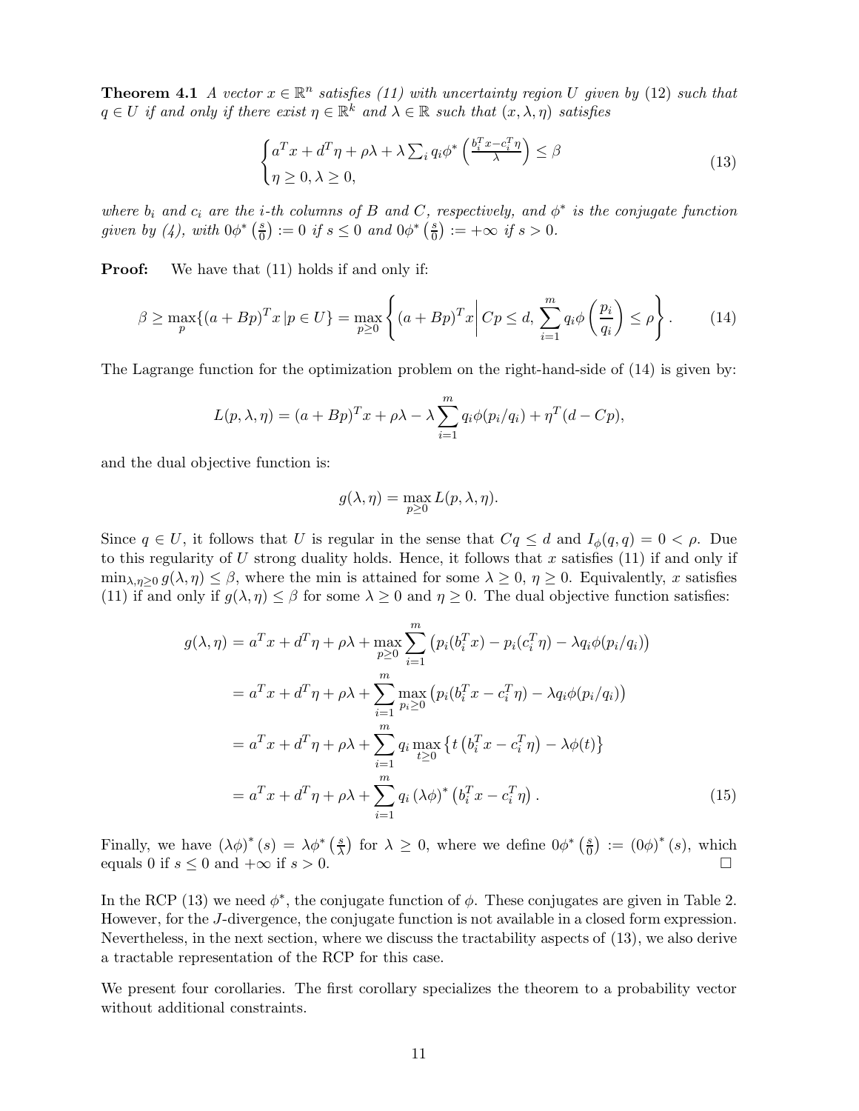**Theorem 4.1** A vector  $x \in \mathbb{R}^n$  satisfies (11) with uncertainty region U given by (12) such that  $q \in U$  if and only if there exist  $\eta \in \mathbb{R}^k$  and  $\lambda \in \mathbb{R}$  such that  $(x, \lambda, \eta)$  satisfies

$$
\begin{cases} a^T x + d^T \eta + \rho \lambda + \lambda \sum_i q_i \phi^* \left( \frac{b_i^T x - c_i^T \eta}{\lambda} \right) \le \beta \\ \eta \ge 0, \lambda \ge 0, \end{cases}
$$
\n(13)

where  $b_i$  and  $c_i$  are the *i*-th columns of B and C, respectively, and  $\phi^*$  is the conjugate function given by (4), with  $0\phi^*$   $\left(\frac{s}{0}\right)$  $\left(\frac{s}{0}\right) := 0 \text{ if } s \leq 0 \text{ and } 0\phi^* \left(\frac{s}{0}\right)$  $\frac{s}{0}$ ) := + $\infty$  if  $s > 0$ .

**Proof:** We have that  $(11)$  holds if and only if:

$$
\beta \ge \max_{p} \{ (a + Bp)^T x \mid p \in U \} = \max_{p \ge 0} \left\{ (a + Bp)^T x \middle| Cp \le d, \sum_{i=1}^m q_i \phi \left( \frac{p_i}{q_i} \right) \le \rho \right\}.
$$
 (14)

The Lagrange function for the optimization problem on the right-hand-side of (14) is given by:

$$
L(p, \lambda, \eta) = (a + Bp)^{T}x + \rho\lambda - \lambda \sum_{i=1}^{m} q_i \phi(p_i/q_i) + \eta^{T} (d - Cp),
$$

and the dual objective function is:

$$
g(\lambda, \eta) = \max_{p \ge 0} L(p, \lambda, \eta).
$$

Since  $q \in U$ , it follows that U is regular in the sense that  $Cq \leq d$  and  $I_{\phi}(q, q) = 0 < \rho$ . Due to this regularity of  $U$  strong duality holds. Hence, it follows that x satisfies (11) if and only if  $\min_{\lambda,\eta\geq 0} g(\lambda,\eta) \leq \beta$ , where the min is attained for some  $\lambda \geq 0$ ,  $\eta \geq 0$ . Equivalently, x satisfies (11) if and only if  $g(\lambda, \eta) \leq \beta$  for some  $\lambda \geq 0$  and  $\eta \geq 0$ . The dual objective function satisfies:

$$
g(\lambda, \eta) = a^T x + d^T \eta + \rho \lambda + \max_{p \ge 0} \sum_{i=1}^m (p_i(b_i^T x) - p_i(c_i^T \eta) - \lambda q_i \phi(p_i/q_i))
$$
  
\n
$$
= a^T x + d^T \eta + \rho \lambda + \sum_{i=1}^m \max_{p_i \ge 0} (p_i(b_i^T x - c_i^T \eta) - \lambda q_i \phi(p_i/q_i))
$$
  
\n
$$
= a^T x + d^T \eta + \rho \lambda + \sum_{i=1}^m q_i \max_{t \ge 0} \{ t(b_i^T x - c_i^T \eta) - \lambda \phi(t) \}
$$
  
\n
$$
= a^T x + d^T \eta + \rho \lambda + \sum_{i=1}^m q_i (\lambda \phi)^* (b_i^T x - c_i^T \eta).
$$
 (15)

Finally, we have  $(\lambda \phi)^*(s) = \lambda \phi^*(\frac{s}{\lambda})$  $\left(\frac{s}{\lambda}\right)$  for  $\lambda \geq 0$ , where we define  $0\phi^*$   $\left(\frac{s}{0}\right)$  $\left( \frac{s}{0} \right) := (0\phi)^* (s)$ , which equals 0 if  $s \leq 0$  and  $+\infty$  if  $s > 0$ .

In the RCP (13) we need  $\phi^*$ , the conjugate function of  $\phi$ . These conjugates are given in Table 2. However, for the J-divergence, the conjugate function is not available in a closed form expression. Nevertheless, in the next section, where we discuss the tractability aspects of (13), we also derive a tractable representation of the RCP for this case.

We present four corollaries. The first corollary specializes the theorem to a probability vector without additional constraints.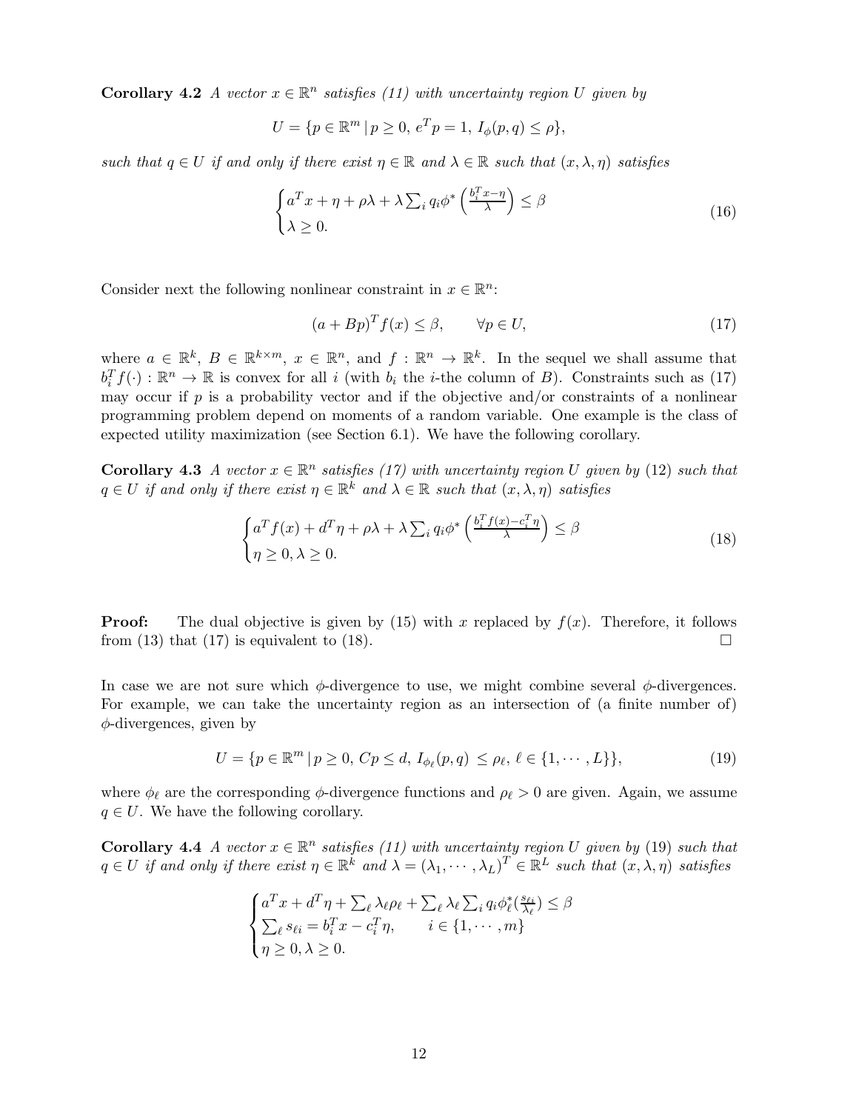**Corollary 4.2** A vector  $x \in \mathbb{R}^n$  satisfies (11) with uncertainty region U given by

$$
U = \{ p \in \mathbb{R}^m \mid p \ge 0, e^T p = 1, I_{\phi}(p, q) \le \rho \},\
$$

such that  $q \in U$  if and only if there exist  $\eta \in \mathbb{R}$  and  $\lambda \in \mathbb{R}$  such that  $(x, \lambda, \eta)$  satisfies

$$
\begin{cases} a^T x + \eta + \rho \lambda + \lambda \sum_{i} q_i \phi^* \left( \frac{b_i^T x - \eta}{\lambda} \right) \le \beta \\ \lambda \ge 0. \end{cases}
$$
 (16)

Consider next the following nonlinear constraint in  $x \in \mathbb{R}^n$ :

$$
(a + Bp)^T f(x) \le \beta, \qquad \forall p \in U,
$$
\n
$$
(17)
$$

where  $a \in \mathbb{R}^k$ ,  $B \in \mathbb{R}^{k \times m}$ ,  $x \in \mathbb{R}^n$ , and  $f : \mathbb{R}^n \to \mathbb{R}^k$ . In the sequel we shall assume that  $b_i^T f(\cdot) : \mathbb{R}^n \to \mathbb{R}$  is convex for all i (with  $b_i$  the *i*-the column of *B*). Constraints such as (17) may occur if  $p$  is a probability vector and if the objective and/or constraints of a nonlinear programming problem depend on moments of a random variable. One example is the class of expected utility maximization (see Section 6.1). We have the following corollary.

**Corollary 4.3** A vector  $x \in \mathbb{R}^n$  satisfies (17) with uncertainty region U given by (12) such that  $q \in U$  if and only if there exist  $\eta \in \mathbb{R}^k$  and  $\lambda \in \mathbb{R}$  such that  $(x, \lambda, \eta)$  satisfies

$$
\begin{cases} a^T f(x) + d^T \eta + \rho \lambda + \lambda \sum_i q_i \phi^* \left( \frac{b_i^T f(x) - c_i^T \eta}{\lambda} \right) \le \beta \\ \eta \ge 0, \lambda \ge 0. \end{cases}
$$
 (18)

**Proof:** The dual objective is given by (15) with x replaced by  $f(x)$ . Therefore, it follows from (13) that (17) is equivalent to (18).

In case we are not sure which  $\phi$ -divergence to use, we might combine several  $\phi$ -divergences. For example, we can take the uncertainty region as an intersection of (a finite number of)  $\phi$ -divergences, given by

$$
U = \{ p \in \mathbb{R}^m \mid p \ge 0, Cp \le d, I_{\phi_{\ell}}(p, q) \le \rho_{\ell}, \ell \in \{1, \cdots, L\} \},
$$
\n(19)

where  $\phi_{\ell}$  are the corresponding  $\phi$ -divergence functions and  $\rho_{\ell} > 0$  are given. Again, we assume  $q \in U$ . We have the following corollary.

**Corollary 4.4** A vector  $x \in \mathbb{R}^n$  satisfies (11) with uncertainty region U given by (19) such that  $q \in U$  if and only if there exist  $\eta \in \mathbb{R}^k$  and  $\lambda = (\lambda_1, \dots, \lambda_L)^T \in \mathbb{R}^L$  such that  $(x, \lambda, \eta)$  satisfies

$$
\begin{cases}\na^T x + d^T \eta + \sum_{\ell} \lambda_{\ell} \rho_{\ell} + \sum_{\ell} \lambda_{\ell} \sum_{i} q_i \phi_{\ell}^* \left( \frac{s_{\ell i}}{\lambda_{\ell}} \right) \le \beta \\
\sum_{\ell} s_{\ell i} = b_i^T x - c_i^T \eta, \qquad i \in \{1, \cdots, m\} \\
\eta \ge 0, \lambda \ge 0.\n\end{cases}
$$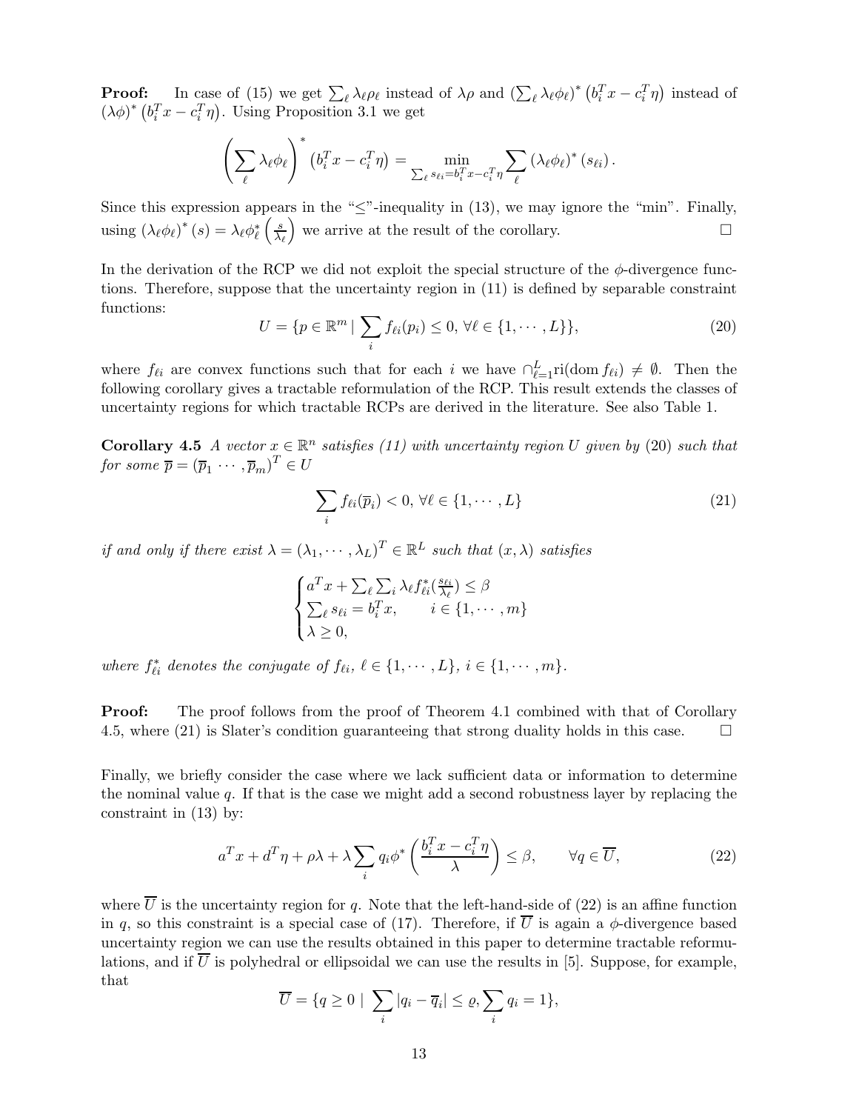**Proof:** In case of (15) we get  $\sum_{\ell} \lambda_{\ell} \rho_{\ell}$  instead of  $\lambda \rho$  and  $(\sum_{\ell} \lambda_{\ell} \phi_{\ell})^*$   $(b_i^T x - c_i^T \eta)$  instead of  $(\lambda \phi)^* (b_i^T x - c_i^T \eta)$ . Using Proposition 3.1 we get

$$
\left(\sum_{\ell} \lambda_{\ell} \phi_{\ell}\right)^{*} \left(b_i^T x - c_i^T \eta\right) = \min_{\sum_{\ell} s_{\ell i} = b_i^T x - c_i^T \eta} \sum_{\ell} \left(\lambda_{\ell} \phi_{\ell}\right)^{*} \left(s_{\ell i}\right).
$$

Since this expression appears in the " $\leq$ "-inequality in (13), we may ignore the "min". Finally, using  $(\lambda_{\ell} \phi_{\ell})^*$   $(s) = \lambda_{\ell} \phi_{\ell}^*$  $\left( s\right)$  $\lambda_\ell$ we arrive at the result of the corollary.  $\square$ 

In the derivation of the RCP we did not exploit the special structure of the  $\phi$ -divergence functions. Therefore, suppose that the uncertainty region in (11) is defined by separable constraint functions:

$$
U = \{ p \in \mathbb{R}^m \mid \sum_i f_{\ell i}(p_i) \le 0, \forall \ell \in \{1, \cdots, L\} \},\tag{20}
$$

where  $f_{\ell i}$  are convex functions such that for each i we have  $\bigcap_{\ell=1}^{L}$  ri(dom  $f_{\ell i}$ )  $\neq \emptyset$ . Then the following corollary gives a tractable reformulation of the RCP. This result extends the classes of uncertainty regions for which tractable RCPs are derived in the literature. See also Table 1.

**Corollary 4.5** A vector  $x \in \mathbb{R}^n$  satisfies (11) with uncertainty region U given by (20) such that for some  $\overline{p} = (\overline{p}_1 \cdots, \overline{p}_m)^T \in U$ 

$$
\sum_{i} f_{\ell i}(\overline{p}_i) < 0, \, \forall \ell \in \{1, \cdots, L\} \tag{21}
$$

if and only if there exist  $\lambda = (\lambda_1, \dots, \lambda_L)^T \in \mathbb{R}^L$  such that  $(x, \lambda)$  satisfies

$$
\begin{cases} a^T x + \sum_{\ell} \sum_{i} \lambda_{\ell} f_{\ell i}^*(\frac{s_{\ell i}}{\lambda_{\ell}}) \leq \beta \\ \sum_{\ell} s_{\ell i} = b_i^T x, \quad i \in \{1, \cdots, m\} \\ \lambda \geq 0, \end{cases}
$$

where  $f_{\ell i}^*$  denotes the conjugate of  $f_{\ell i}, \ell \in \{1, \cdots, L\}, i \in \{1, \cdots, m\}.$ 

**Proof:** The proof follows from the proof of Theorem 4.1 combined with that of Corollary 4.5, where (21) is Slater's condition guaranteeing that strong duality holds in this case.  $\square$ 

Finally, we briefly consider the case where we lack sufficient data or information to determine the nominal value  $q$ . If that is the case we might add a second robustness layer by replacing the constraint in (13) by:

$$
a^T x + d^T \eta + \rho \lambda + \lambda \sum_{i} q_i \phi^* \left( \frac{b_i^T x - c_i^T \eta}{\lambda} \right) \le \beta, \qquad \forall q \in \overline{U}, \tag{22}
$$

where  $\overline{U}$  is the uncertainty region for q. Note that the left-hand-side of (22) is an affine function in q, so this constraint is a special case of (17). Therefore, if  $\overline{U}$  is again a  $\phi$ -divergence based uncertainty region we can use the results obtained in this paper to determine tractable reformulations, and if  $\overline{U}$  is polyhedral or ellipsoidal we can use the results in [5]. Suppose, for example, that

$$
\overline{U} = \{q \ge 0 \mid \sum_i |q_i - \overline{q}_i| \le \varrho, \sum_i q_i = 1\},\
$$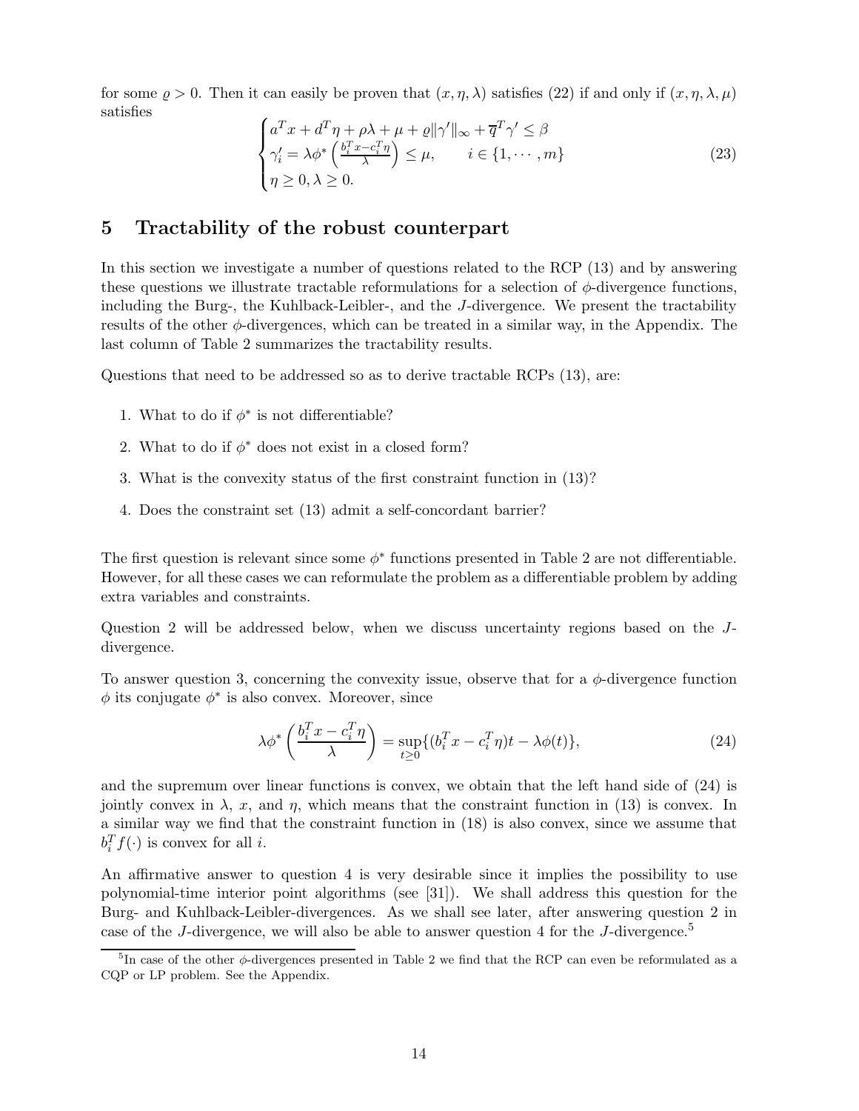for some  $\rho > 0$ . Then it can easily be proven that  $(x, \eta, \lambda)$  satisfies (22) if and only if  $(x, \eta, \lambda, \mu)$ satisfies

$$
\begin{cases}\na^T x + d^T \eta + \rho \lambda + \mu + \varrho ||\gamma'||_{\infty} + \overline{q}^T \gamma' \leq \beta \\
\gamma'_i = \lambda \phi^* \left( \frac{b_i^T x - c_i^T \eta}{\lambda} \right) \leq \mu, \qquad i \in \{1, \cdots, m\} \\
\eta \geq 0, \lambda \geq 0.\n\end{cases}
$$
\n(23)

## 5 Tractability of the robust counterpart

In this section we investigate a number of questions related to the RCP (13) and by answering these questions we illustrate tractable reformulations for a selection of  $\phi$ -divergence functions, including the Burg-, the Kuhlback-Leibler-, and the J-divergence. We present the tractability results of the other  $\phi$ -divergences, which can be treated in a similar way, in the Appendix. The last column of Table 2 summarizes the tractability results.

Questions that need to be addressed so as to derive tractable RCPs (13), are:

- 1. What to do if  $\phi^*$  is not differentiable?
- 2. What to do if  $\phi^*$  does not exist in a closed form?
- 3. What is the convexity status of the first constraint function in (13)?
- 4. Does the constraint set (13) admit a self-concordant barrier?

The first question is relevant since some  $\phi^*$  functions presented in Table 2 are not differentiable. However, for all these cases we can reformulate the problem as a differentiable problem by adding extra variables and constraints.

Question 2 will be addressed below, when we discuss uncertainty regions based on the Jdivergence.

To answer question 3, concerning the convexity issue, observe that for a  $\phi$ -divergence function  $\phi$  its conjugate  $\phi^*$  is also convex. Moreover, since

$$
\lambda \phi^* \left( \frac{b_i^T x - c_i^T \eta}{\lambda} \right) = \sup_{t \ge 0} \{ (b_i^T x - c_i^T \eta)t - \lambda \phi(t) \},\tag{24}
$$

and the supremum over linear functions is convex, we obtain that the left hand side of (24) is jointly convex in  $\lambda$ , x, and  $\eta$ , which means that the constraint function in (13) is convex. In a similar way we find that the constraint function in (18) is also convex, since we assume that  $b_i^T f(\cdot)$  is convex for all *i*.

An affirmative answer to question 4 is very desirable since it implies the possibility to use polynomial-time interior point algorithms (see [31]). We shall address this question for the Burg- and Kuhlback-Leibler-divergences. As we shall see later, after answering question 2 in case of the J-divergence, we will also be able to answer question 4 for the J-divergence.<sup>5</sup>

<sup>&</sup>lt;sup>5</sup>In case of the other  $\phi$ -divergences presented in Table 2 we find that the RCP can even be reformulated as a CQP or LP problem. See the Appendix.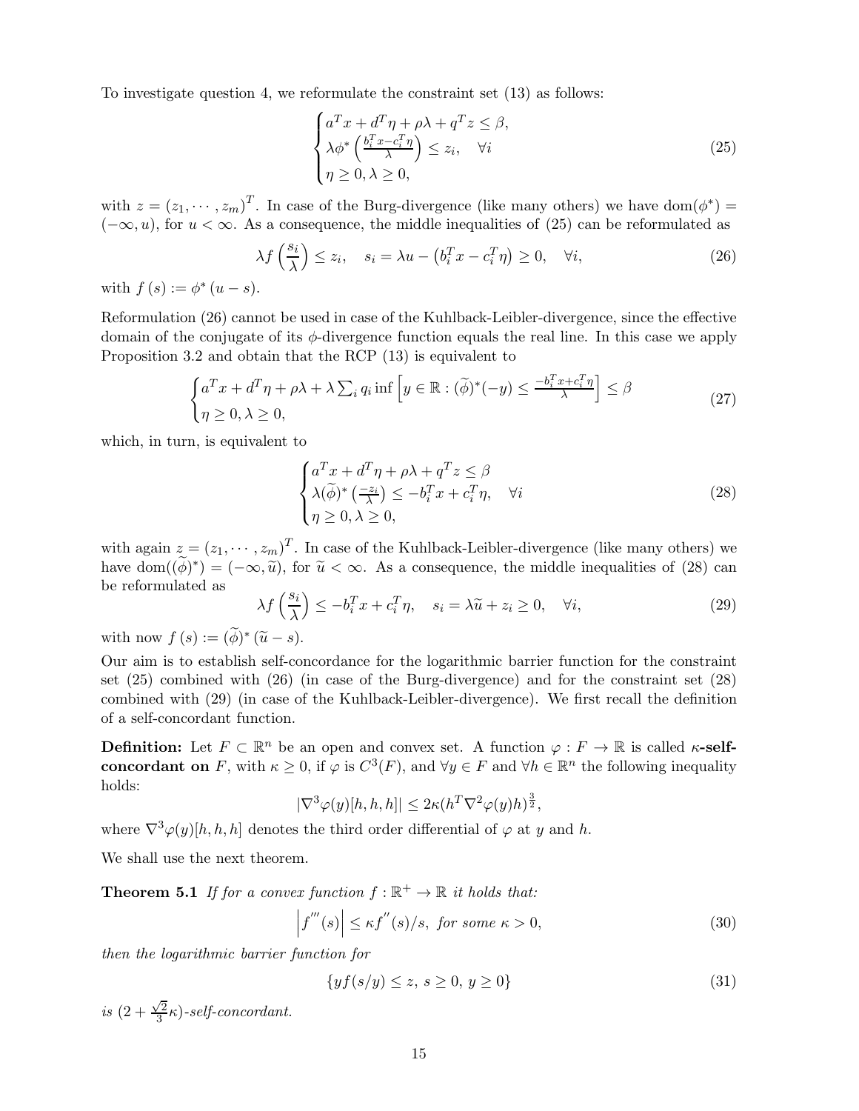To investigate question 4, we reformulate the constraint set (13) as follows:

$$
\begin{cases}\na^T x + d^T \eta + \rho \lambda + q^T z \le \beta, \\
\lambda \phi^* \left(\frac{b_i^T x - c_i^T \eta}{\lambda}\right) \le z_i, \quad \forall i \\
\eta \ge 0, \lambda \ge 0,\n\end{cases}
$$
\n(25)

with  $z = (z_1, \dots, z_m)^T$ . In case of the Burg-divergence (like many others) we have dom $(\phi^*)$  =  $(-\infty, u)$ , for  $u < \infty$ . As a consequence, the middle inequalities of (25) can be reformulated as

$$
\lambda f\left(\frac{s_i}{\lambda}\right) \le z_i, \quad s_i = \lambda u - \left(b_i^T x - c_i^T \eta\right) \ge 0, \quad \forall i,
$$
\n<sup>(26)</sup>

with  $f(s) := \phi^*(u - s)$ .

Reformulation (26) cannot be used in case of the Kuhlback-Leibler-divergence, since the effective domain of the conjugate of its  $\phi$ -divergence function equals the real line. In this case we apply Proposition 3.2 and obtain that the RCP (13) is equivalent to

$$
\begin{cases} a^T x + d^T \eta + \rho \lambda + \lambda \sum_i q_i \inf \left[ y \in \mathbb{R} : (\widetilde{\phi})^*(-y) \le \frac{-b_i^T x + c_i^T \eta}{\lambda} \right] \le \beta \\ \eta \ge 0, \lambda \ge 0, \end{cases}
$$
(27)

which, in turn, is equivalent to

$$
\begin{cases}\na^T x + d^T \eta + \rho \lambda + q^T z \le \beta \\
\lambda(\tilde{\phi})^* \left(\frac{-z_i}{\lambda}\right) \le -b_i^T x + c_i^T \eta, \quad \forall i \\
\eta \ge 0, \lambda \ge 0,\n\end{cases}
$$
\n(28)

with again  $z = (z_1, \dots, z_m)^T$ . In case of the Kuhlback-Leibler-divergence (like many others) we have dom $((\phi)^*) = (-\infty, \tilde{u})$ , for  $\tilde{u} < \infty$ . As a consequence, the middle inequalities of (28) can be reformulated as

$$
\lambda f\left(\frac{s_i}{\lambda}\right) \le -b_i^T x + c_i^T \eta, \quad s_i = \lambda \widetilde{u} + z_i \ge 0, \quad \forall i,
$$
\n
$$
(29)
$$

with now  $f(s) := (\phi)^*(\widetilde{u} - s).$ 

Our aim is to establish self-concordance for the logarithmic barrier function for the constraint set (25) combined with (26) (in case of the Burg-divergence) and for the constraint set (28) combined with (29) (in case of the Kuhlback-Leibler-divergence). We first recall the definition of a self-concordant function.

**Definition:** Let  $F \subset \mathbb{R}^n$  be an open and convex set. A function  $\varphi : F \to \mathbb{R}$  is called  $\kappa$ -selfconcordant on F, with  $\kappa \geq 0$ , if  $\varphi$  is  $C^3(F)$ , and  $\forall y \in F$  and  $\forall h \in \mathbb{R}^n$  the following inequality holds:

$$
|\nabla^3 \varphi(y)[h, h, h]| \leq 2\kappa (h^T \nabla^2 \varphi(y) h)^{\frac{3}{2}},
$$

where  $\nabla^3 \varphi(y)[h, h, h]$  denotes the third order differential of  $\varphi$  at y and h.

We shall use the next theorem.

**Theorem 5.1** If for a convex function  $f : \mathbb{R}^+ \to \mathbb{R}$  it holds that:

$$
\left|f'''(s)\right| \le \kappa f''(s)/s, \text{ for some } \kappa > 0,
$$
\n(30)

then the logarithmic barrier function for

$$
\{yf(s/y) \le z, \ s \ge 0, \ y \ge 0\}
$$
 (31)

is  $(2+\frac{\sqrt{2}}{3})$  $\frac{1}{3}\kappa$ )-self-concordant.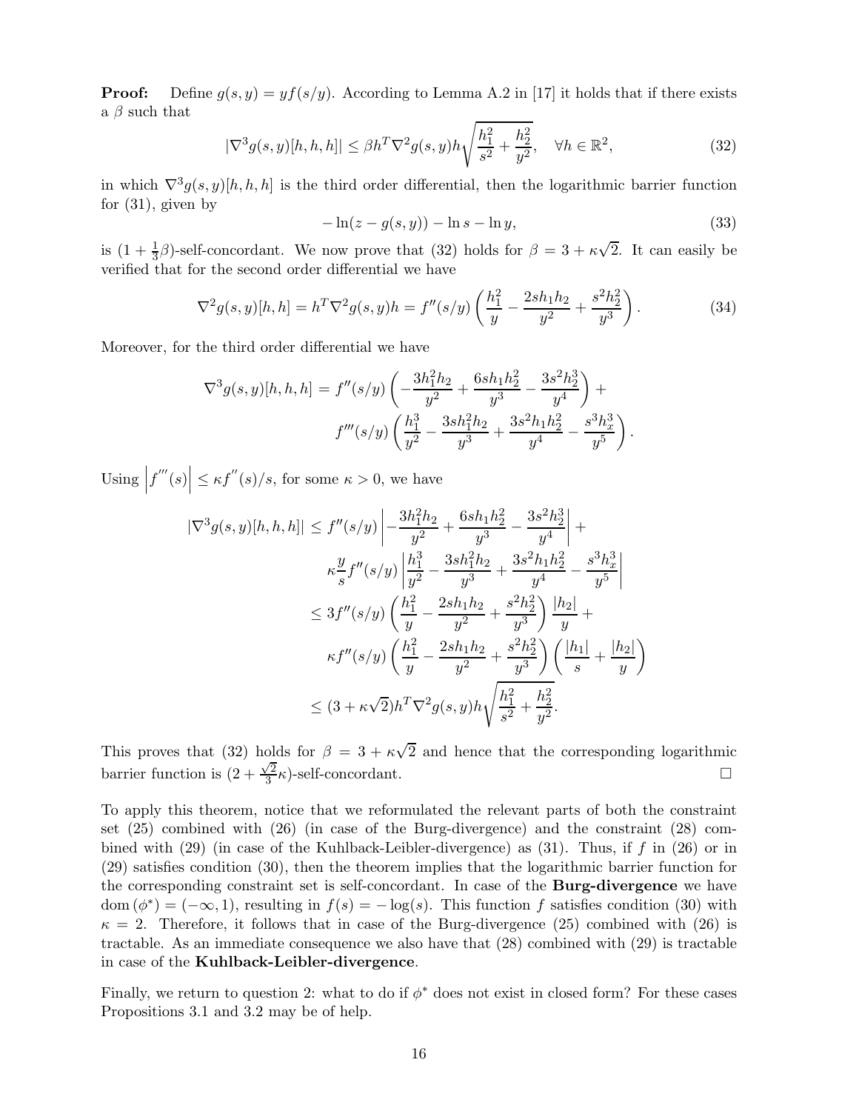**Proof:** Define  $g(s, y) = yf(s/y)$ . According to Lemma A.2 in [17] it holds that if there exists a  $\beta$  such that

$$
|\nabla^3 g(s, y)[h, h, h]| \le \beta h^T \nabla^2 g(s, y) h \sqrt{\frac{h_1^2}{s^2} + \frac{h_2^2}{y^2}}, \quad \forall h \in \mathbb{R}^2,
$$
\n(32)

in which  $\nabla^3 g(s, y)[h, h, h]$  is the third order differential, then the logarithmic barrier function for  $(31)$ , given by

$$
-\ln(z - g(s, y)) - \ln s - \ln y,\tag{33}
$$

is  $(1 + \frac{1}{3}\beta)$ -self-concordant. We now prove that (32) holds for  $\beta = 3 + \kappa\sqrt{2}$ . It can easily be verified that for the second order differential we have

$$
\nabla^2 g(s, y)[h, h] = h^T \nabla^2 g(s, y)h = f''(s/y) \left(\frac{h_1^2}{y} - \frac{2sh_1 h_2}{y^2} + \frac{s^2 h_2^2}{y^3}\right). \tag{34}
$$

Moreover, for the third order differential we have

$$
\nabla^3 g(s, y)[h, h, h] = f''(s/y) \left( -\frac{3h_1^2 h_2}{y^2} + \frac{6sh_1h_2^2}{y^3} - \frac{3s^2h_2^3}{y^4} \right) +
$$
  

$$
f'''(s/y) \left( \frac{h_1^3}{y^2} - \frac{3sh_1^2 h_2}{y^3} + \frac{3s^2h_1h_2^2}{y^4} - \frac{s^3h_x^3}{y^5} \right).
$$

Using  $|f'''(s)| \leq \kappa f''(s)/s$ , for some  $\kappa > 0$ , we have

$$
|\nabla^3 g(s, y)[h, h, h]| \leq f''(s/y) \left| -\frac{3h_1^2 h_2}{y^2} + \frac{6sh_1 h_2^2}{y^3} - \frac{3s^2 h_2^3}{y^4} \right| +
$$
  

$$
\kappa \frac{y}{s} f''(s/y) \left| \frac{h_1^3}{y^2} - \frac{3sh_1^2 h_2}{y^3} + \frac{3s^2 h_1 h_2^2}{y^4} - \frac{s^3 h_x^3}{y^5} \right|
$$
  

$$
\leq 3f''(s/y) \left( \frac{h_1^2}{y} - \frac{2sh_1 h_2}{y^2} + \frac{s^2 h_2^2}{y^3} \right) \frac{|h_2|}{y} +
$$
  

$$
\kappa f''(s/y) \left( \frac{h_1^2}{y} - \frac{2sh_1 h_2}{y^2} + \frac{s^2 h_2^2}{y^3} \right) \left( \frac{|h_1|}{s} + \frac{|h_2|}{y} \right)
$$
  

$$
\leq (3 + \kappa \sqrt{2}) h^T \nabla^2 g(s, y) h \sqrt{\frac{h_1^2}{s^2} + \frac{h_2^2}{y^2}}.
$$

This proves that (32) holds for  $\beta = 3 + \kappa\sqrt{2}$  and hence that the corresponding logarithmic barrier function is  $\left(2+\frac{\sqrt{2}}{3}\right)$  $\frac{\sqrt{2}}{3}\kappa$ )-self-concordant.

To apply this theorem, notice that we reformulated the relevant parts of both the constraint set (25) combined with (26) (in case of the Burg-divergence) and the constraint (28) combined with  $(29)$  (in case of the Kuhlback-Leibler-divergence) as  $(31)$ . Thus, if f in  $(26)$  or in (29) satisfies condition (30), then the theorem implies that the logarithmic barrier function for the corresponding constraint set is self-concordant. In case of the Burg-divergence we have dom  $(\phi^*) = (-\infty, 1)$ , resulting in  $f(s) = -\log(s)$ . This function f satisfies condition (30) with  $\kappa = 2$ . Therefore, it follows that in case of the Burg-divergence (25) combined with (26) is tractable. As an immediate consequence we also have that (28) combined with (29) is tractable in case of the Kuhlback-Leibler-divergence.

Finally, we return to question 2: what to do if  $\phi^*$  does not exist in closed form? For these cases Propositions 3.1 and 3.2 may be of help.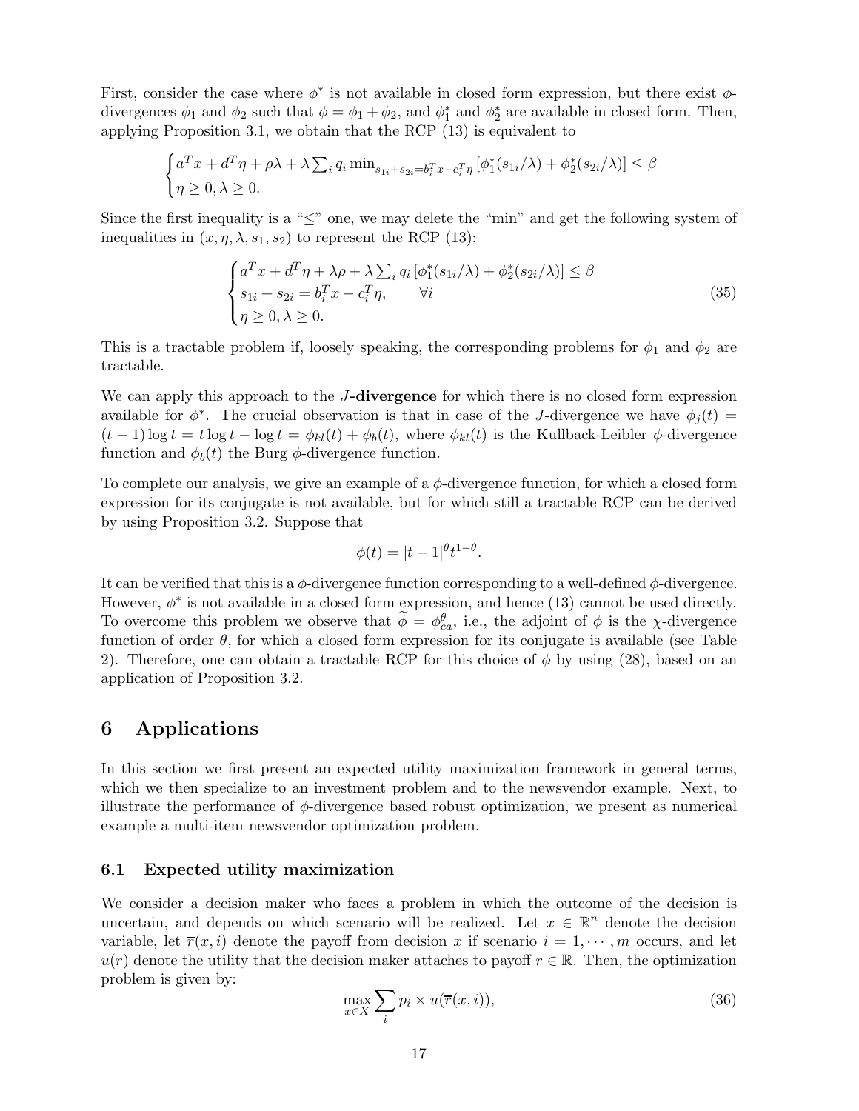First, consider the case where  $\phi^*$  is not available in closed form expression, but there exist  $\phi$ divergences  $\phi_1$  and  $\phi_2$  such that  $\phi = \phi_1 + \phi_2$ , and  $\phi_1^*$  and  $\phi_2^*$  are available in closed form. Then, applying Proposition 3.1, we obtain that the RCP (13) is equivalent to

$$
\begin{cases} a^T x + d^T \eta + \rho \lambda + \lambda \sum_i q_i \min_{s_{1i} + s_{2i} = b_i^T x - c_i^T \eta} \left[ \phi_1^*(s_{1i}/\lambda) + \phi_2^*(s_{2i}/\lambda) \right] \leq \beta \\ \eta \geq 0, \lambda \geq 0. \end{cases}
$$

Since the first inequality is a "≤" one, we may delete the "min" and get the following system of inequalities in  $(x, \eta, \lambda, s_1, s_2)$  to represent the RCP (13):

$$
\begin{cases}\na^T x + d^T \eta + \lambda \rho + \lambda \sum_i q_i \left[ \phi_1^*(s_{1i}/\lambda) + \phi_2^*(s_{2i}/\lambda) \right] \le \beta \\
s_{1i} + s_{2i} = b_i^T x - c_i^T \eta, \qquad \forall i \\
\eta \ge 0, \lambda \ge 0.\n\end{cases}
$$
\n(35)

This is a tractable problem if, loosely speaking, the corresponding problems for  $\phi_1$  and  $\phi_2$  are tractable.

We can apply this approach to the J-divergence for which there is no closed form expression available for  $\phi^*$ . The crucial observation is that in case of the *J*-divergence we have  $\phi_j(t)$  =  $(t-1)$  log  $t = t \log t - \log t = \phi_{kl}(t) + \phi_b(t)$ , where  $\phi_{kl}(t)$  is the Kullback-Leibler  $\phi$ -divergence function and  $\phi_b(t)$  the Burg  $\phi$ -divergence function.

To complete our analysis, we give an example of a  $\phi$ -divergence function, for which a closed form expression for its conjugate is not available, but for which still a tractable RCP can be derived by using Proposition 3.2. Suppose that

$$
\phi(t) = |t-1|^\theta t^{1-\theta}.
$$

It can be verified that this is a  $\phi$ -divergence function corresponding to a well-defined  $\phi$ -divergence. However,  $\phi^*$  is not available in a closed form expression, and hence (13) cannot be used directly. To overcome this problem we observe that  $\tilde{\phi} = \phi_{ca}^{\theta}$ , i.e., the adjoint of  $\phi$  is the  $\chi$ -divergence function of order  $\theta$ , for which a closed form expression for its conjugate is available (see Table 2). Therefore, one can obtain a tractable RCP for this choice of  $\phi$  by using (28), based on an application of Proposition 3.2.

## 6 Applications

In this section we first present an expected utility maximization framework in general terms, which we then specialize to an investment problem and to the newsvendor example. Next, to illustrate the performance of  $\phi$ -divergence based robust optimization, we present as numerical example a multi-item newsvendor optimization problem.

### 6.1 Expected utility maximization

We consider a decision maker who faces a problem in which the outcome of the decision is uncertain, and depends on which scenario will be realized. Let  $x \in \mathbb{R}^n$  denote the decision variable, let  $\overline{r}(x, i)$  denote the payoff from decision x if scenario  $i = 1, \dots, m$  occurs, and let  $u(r)$  denote the utility that the decision maker attaches to payoff  $r \in \mathbb{R}$ . Then, the optimization problem is given by:

$$
\max_{x \in X} \sum_{i} p_i \times u(\overline{r}(x, i)),\tag{36}
$$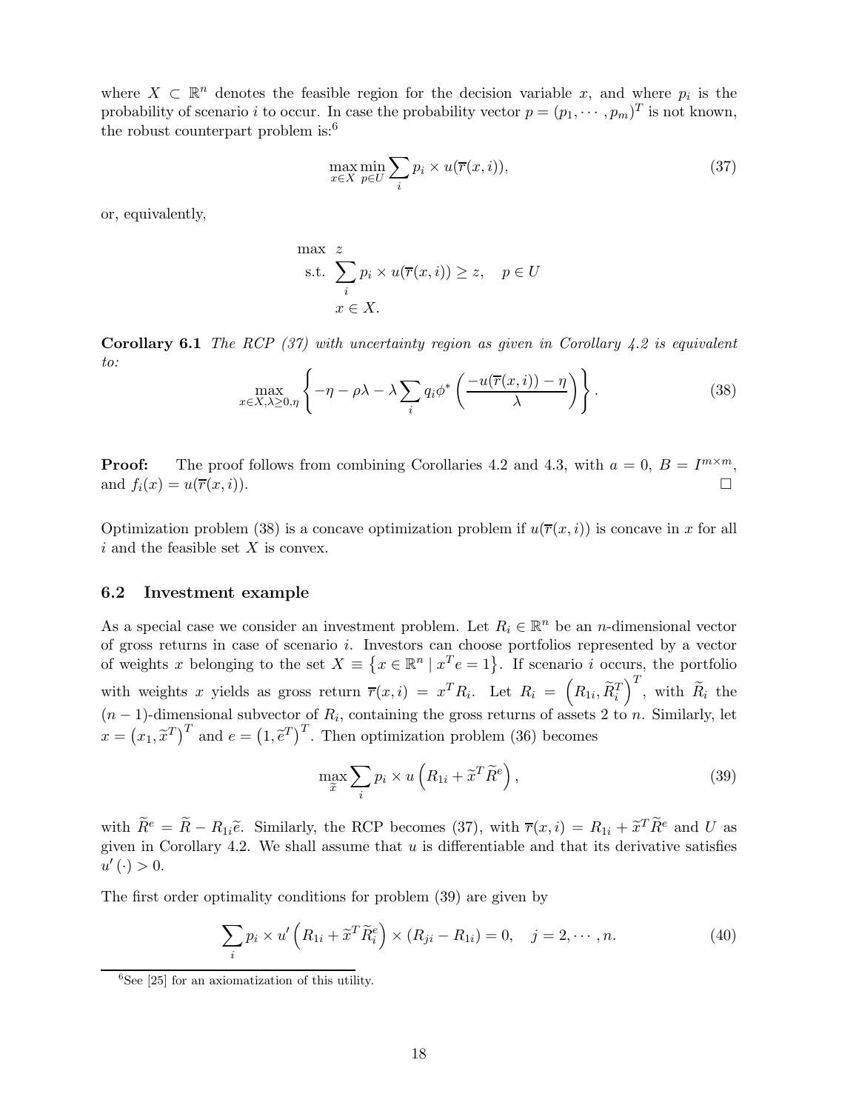where  $X \subset \mathbb{R}^n$  denotes the feasible region for the decision variable x, and where  $p_i$  is the probability of scenario *i* to occur. In case the probability vector  $p = (p_1, \dots, p_m)^T$  is not known, the robust counterpart problem is:<sup>6</sup>

$$
\max_{x \in X} \min_{p \in U} \sum_{i} p_i \times u(\overline{r}(x, i)),\tag{37}
$$

or, equivalently,

max 
$$
z
$$
  
s.t. 
$$
\sum_{i} p_i \times u(\overline{r}(x, i)) \geq z, \quad p \in U
$$

$$
x \in X.
$$

**Corollary 6.1** The RCP  $(37)$  with uncertainty region as given in Corollary 4.2 is equivalent to:

$$
\max_{x \in X, \lambda \ge 0, \eta} \left\{ -\eta - \rho \lambda - \lambda \sum_{i} q_i \phi^* \left( \frac{-u(\overline{r}(x, i)) - \eta}{\lambda} \right) \right\}.
$$
 (38)

**Proof:** The proof follows from combining Corollaries 4.2 and 4.3, with  $a = 0$ ,  $B = I^{m \times m}$ , and  $f_i(x) = u(\overline{r}(x, i)).$ 

Optimization problem (38) is a concave optimization problem if  $u(\overline{r}(x, i))$  is concave in x for all  $i$  and the feasible set  $X$  is convex.

## 6.2 Investment example

As a special case we consider an investment problem. Let  $R_i \in \mathbb{R}^n$  be an *n*-dimensional vector of gross returns in case of scenario i. Investors can choose portfolios represented by a vector of weights x belonging to the set  $X \equiv \{x \in \mathbb{R}^n \mid x^T e = 1\}$ . If scenario i occurs, the portfolio with weights x yields as gross return  $\overline{r}(x,i) = x^T R_i$ . Let  $R_i = (R_{1i}, \widetilde{R}_i^T)$  $\int_0^T$ , with  $\widetilde{R}_i$  the  $(n-1)$ -dimensional subvector of  $R_i$ , containing the gross returns of assets 2 to n. Similarly, let  $x = (x_1, \tilde{x}^T)^T$  and  $e = (1, \tilde{e}^T)^T$ . Then optimization problem (36) becomes

$$
\max_{\widetilde{x}} \sum_{i} p_i \times u \left( R_{1i} + \widetilde{x}^T \widetilde{R}^e \right),\tag{39}
$$

with  $\widetilde{R}^e = \widetilde{R} - R_{1i}\widetilde{e}$ . Similarly, the RCP becomes (37), with  $\overline{r}(x, i) = R_{1i} + \widetilde{x}^T \widetilde{R}^e$  and U as given in Corollary 4.2. We shall assume that  $u$  is differentiable and that its derivative satisfies  $u'(\cdot) > 0.$ 

The first order optimality conditions for problem (39) are given by

$$
\sum_{i} p_i \times u' \left( R_{1i} + \widetilde{x}^T \widetilde{R}_i^e \right) \times \left( R_{ji} - R_{1i} \right) = 0, \quad j = 2, \cdots, n. \tag{40}
$$

 ${}^{6}$ See [25] for an axiomatization of this utility.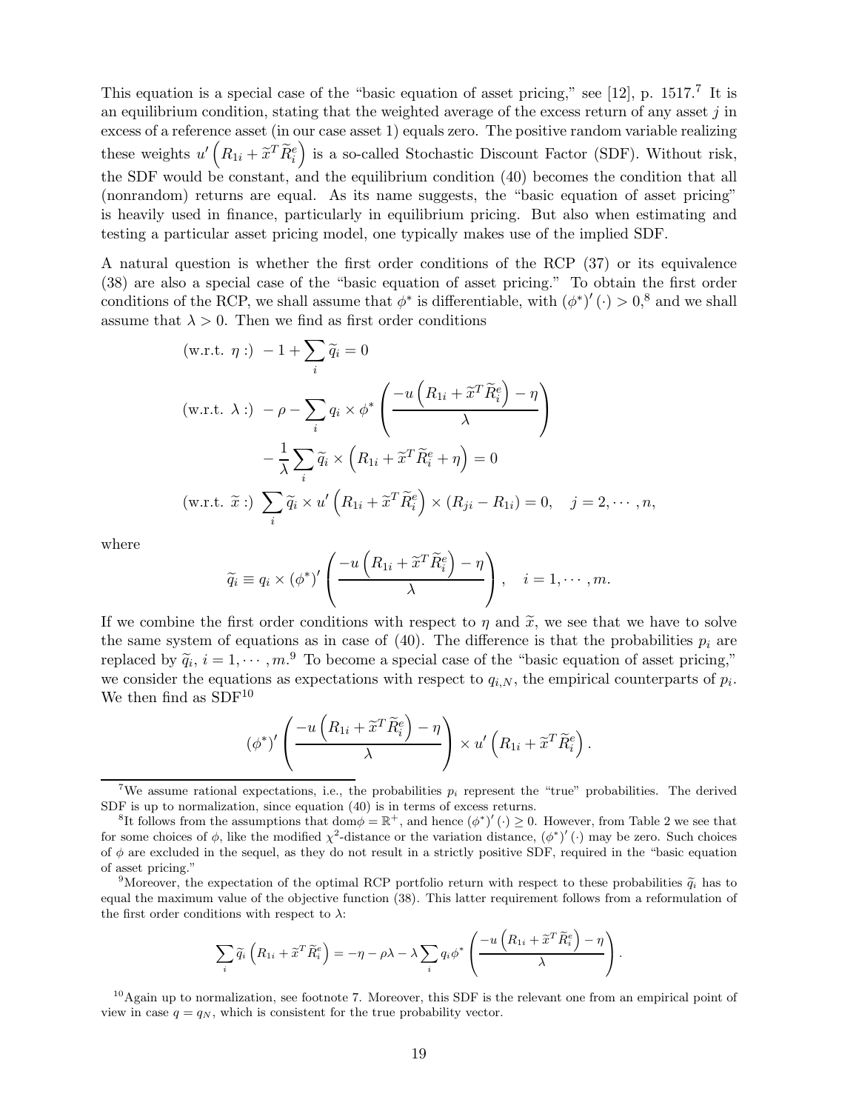This equation is a special case of the "basic equation of asset pricing," see  $[12]$ , p. 1517.<sup>7</sup> It is an equilibrium condition, stating that the weighted average of the excess return of any asset  $j$  in excess of a reference asset (in our case asset 1) equals zero. The positive random variable realizing these weights  $u' (R_{1i} + \tilde{x}^T \tilde{R}_i^e)$  is a so-called Stochastic Discount Factor (SDF). Without risk, the SDF would be constant, and the equilibrium condition (40) becomes the condition that all (nonrandom) returns are equal. As its name suggests, the "basic equation of asset pricing" is heavily used in finance, particularly in equilibrium pricing. But also when estimating and testing a particular asset pricing model, one typically makes use of the implied SDF.

A natural question is whether the first order conditions of the RCP (37) or its equivalence (38) are also a special case of the "basic equation of asset pricing." To obtain the first order conditions of the RCP, we shall assume that  $\phi^*$  is differentiable, with  $(\phi^*)'(\cdot) > 0$ ,<sup>8</sup> and we shall assume that  $\lambda > 0$ . Then we find as first order conditions

$$
(\text{w.r.t. } \eta: ) - 1 + \sum_{i} \widetilde{q}_{i} = 0
$$
  

$$
(\text{w.r.t. } \lambda: ) - \rho - \sum_{i} q_{i} \times \phi^{*} \left( \frac{-u \left( R_{1i} + \widetilde{x}^{T} \widetilde{R}_{i}^{e} \right) - \eta}{\lambda} \right)
$$

$$
- \frac{1}{\lambda} \sum_{i} \widetilde{q}_{i} \times \left( R_{1i} + \widetilde{x}^{T} \widetilde{R}_{i}^{e} + \eta \right) = 0
$$
  

$$
(\text{w.r.t. } \widetilde{x}: ) \sum_{i} \widetilde{q}_{i} \times u' \left( R_{1i} + \widetilde{x}^{T} \widetilde{R}_{i}^{e} \right) \times \left( R_{ji} - R_{1i} \right) = 0, \quad j = 2, \cdots, n,
$$

where

$$
\widetilde{q}_i \equiv q_i \times (\phi^*)' \left( \frac{-u\left(R_{1i} + \widetilde{x}^T \widetilde{R}_i^e\right) - \eta}{\lambda}\right), \quad i = 1, \cdots, m.
$$

If we combine the first order conditions with respect to  $\eta$  and  $\tilde{x}$ , we see that we have to solve the same system of equations as in case of (40). The difference is that the probabilities  $p_i$  are replaced by  $\tilde{q}_i$ ,  $i = 1, \dots, m$ . To become a special case of the "basic equation of asset pricing," we consider the equations as expectations with respect to  $q_{i,N}$ , the empirical counterparts of  $p_i$ . We then find as  ${\rm SDF^{10}}$ 

$$
(\phi^*)'\left(\frac{-u\left(R_{1i}+\widetilde{x}^T\widetilde{R}_i^e\right)-\eta}{\lambda}\right)\times u'\left(R_{1i}+\widetilde{x}^T\widetilde{R}_i^e\right).
$$

<sup>9</sup>Moreover, the expectation of the optimal RCP portfolio return with respect to these probabilities  $\tilde{q}_i$  has to equal the maximum value of the objective function (38). This latter requirement follows from a reformulation of the first order conditions with respect to  $\lambda$ :

$$
\sum_{i} \widetilde{q}_{i} \left( R_{1i} + \widetilde{x}^{T} \widetilde{R}_{i}^{e} \right) = -\eta - \rho \lambda - \lambda \sum_{i} q_{i} \phi^{*} \left( \frac{-u \left( R_{1i} + \widetilde{x}^{T} \widetilde{R}_{i}^{e} \right) - \eta}{\lambda} \right).
$$

<sup>10</sup>Again up to normalization, see footnote 7. Moreover, this SDF is the relevant one from an empirical point of view in case  $q = q_N$ , which is consistent for the true probability vector.

<sup>&</sup>lt;sup>7</sup>We assume rational expectations, i.e., the probabilities  $p_i$  represent the "true" probabilities. The derived SDF is up to normalization, since equation (40) is in terms of excess returns.

<sup>&</sup>lt;sup>8</sup>It follows from the assumptions that dom $\phi = \mathbb{R}^+$ , and hence  $(\phi^*)'(\cdot) \geq 0$ . However, from Table 2 we see that for some choices of  $\phi$ , like the modified  $\chi^2$ -distance or the variation distance,  $(\phi^*)'(\cdot)$  may be zero. Such choices of  $\phi$  are excluded in the sequel, as they do not result in a strictly positive SDF, required in the "basic equation" of asset pricing."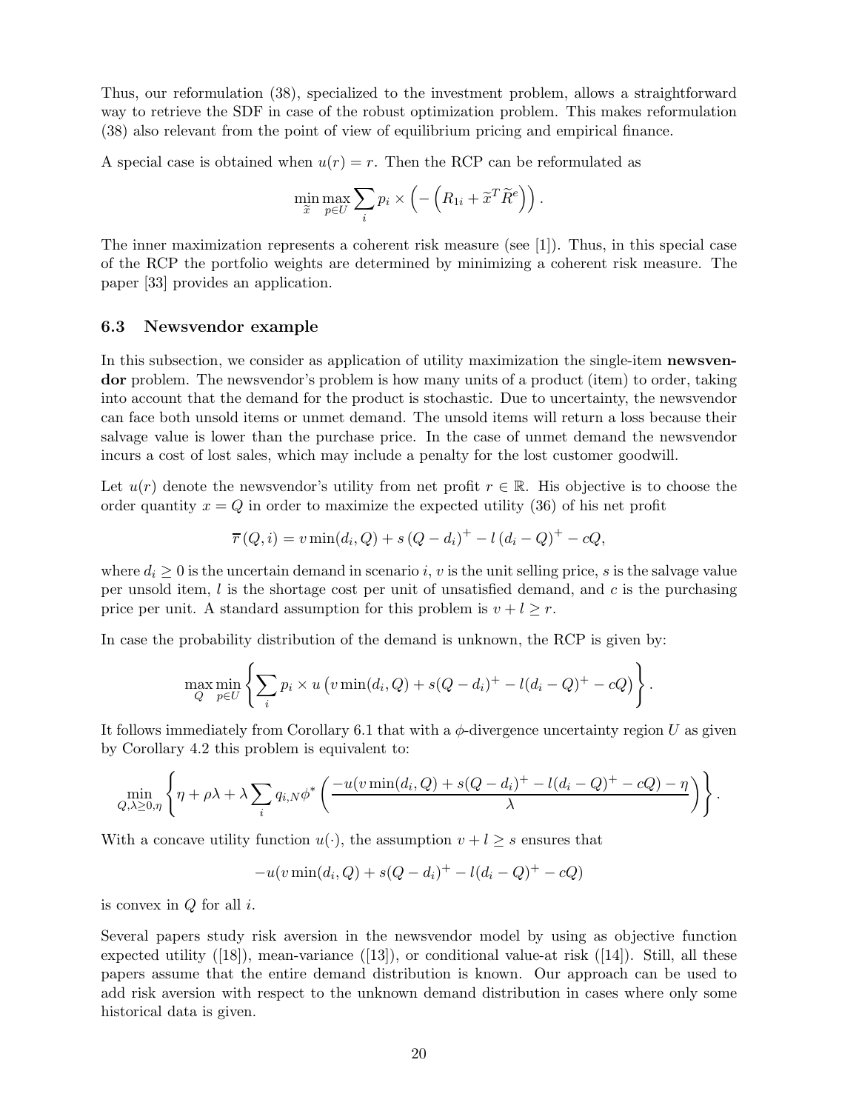Thus, our reformulation (38), specialized to the investment problem, allows a straightforward way to retrieve the SDF in case of the robust optimization problem. This makes reformulation (38) also relevant from the point of view of equilibrium pricing and empirical finance.

A special case is obtained when  $u(r) = r$ . Then the RCP can be reformulated as

$$
\min_{\widetilde{x}} \max_{p \in U} \sum_{i} p_i \times \left(-\left(R_{1i} + \widetilde{x}^T \widetilde{R}^e\right)\right).
$$

The inner maximization represents a coherent risk measure (see [1]). Thus, in this special case of the RCP the portfolio weights are determined by minimizing a coherent risk measure. The paper [33] provides an application.

#### 6.3 Newsvendor example

In this subsection, we consider as application of utility maximization the single-item **newsven**dor problem. The newsvendor's problem is how many units of a product (item) to order, taking into account that the demand for the product is stochastic. Due to uncertainty, the newsvendor can face both unsold items or unmet demand. The unsold items will return a loss because their salvage value is lower than the purchase price. In the case of unmet demand the newsvendor incurs a cost of lost sales, which may include a penalty for the lost customer goodwill.

Let  $u(r)$  denote the newsvendor's utility from net profit  $r \in \mathbb{R}$ . His objective is to choose the order quantity  $x = Q$  in order to maximize the expected utility (36) of his net profit

$$
\overline{r}(Q, i) = v \min(d_i, Q) + s (Q - d_i)^{+} - l (d_i - Q)^{+} - cQ,
$$

where  $d_i \geq 0$  is the uncertain demand in scenario i, v is the unit selling price, s is the salvage value per unsold item,  $l$  is the shortage cost per unit of unsatisfied demand, and  $c$  is the purchasing price per unit. A standard assumption for this problem is  $v + l \geq r$ .

In case the probability distribution of the demand is unknown, the RCP is given by:

$$
\max_{Q} \min_{p \in U} \left\{ \sum_{i} p_i \times u \left( v \min(d_i, Q) + s(Q - d_i)^+ - l(d_i - Q)^+ - cQ \right) \right\}.
$$

It follows immediately from Corollary 6.1 that with a  $\phi$ -divergence uncertainty region U as given by Corollary 4.2 this problem is equivalent to:

$$
\min_{Q,\lambda\geq 0,\eta}\left\{\eta+\rho\lambda+\lambda\sum_i q_{i,N}\phi^*\left(\frac{-u(v\min(d_i,Q)+s(Q-d_i)^+-l(d_i-Q)^+-cQ)-\eta}{\lambda}\right)\right\}.
$$

With a concave utility function  $u(\cdot)$ , the assumption  $v + l \geq s$  ensures that

$$
-u(v\min(d_i, Q) + s(Q - d_i)^{+} - l(d_i - Q)^{+} - cQ)
$$

is convex in  $Q$  for all  $i$ .

Several papers study risk aversion in the newsvendor model by using as objective function expected utility  $([18])$ , mean-variance  $([13])$ , or conditional value-at risk  $([14])$ . Still, all these papers assume that the entire demand distribution is known. Our approach can be used to add risk aversion with respect to the unknown demand distribution in cases where only some historical data is given.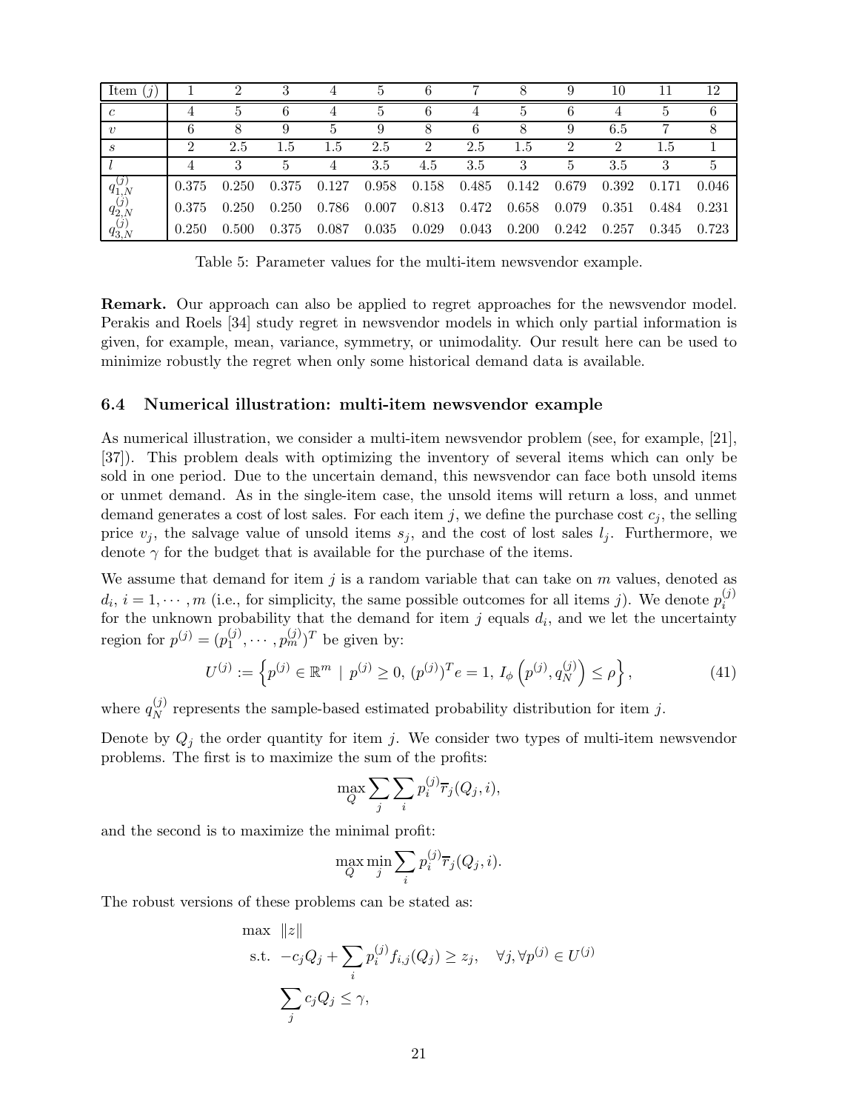| Item<br>$\left( \iint$             |       | 2     |       |       | b.    | 6     |       |       | 9     | 10    | 11    | 12    |
|------------------------------------|-------|-------|-------|-------|-------|-------|-------|-------|-------|-------|-------|-------|
| $\epsilon$                         | 4     |       |       |       |       | 6     |       | ۰,    |       |       |       |       |
| $\boldsymbol{v}$                   | 6     |       |       | 5.    |       | 8     | 6     |       | 9     | 6.5   |       |       |
| S                                  | 2     | 2.5   | 1.5   | 1.5   | 2.5   | 2     | 2.5   | 1.5   |       |       | 1.5   |       |
|                                    | 4     | 3     | 5.    | 4     | 3.5   | 4.5   | 3.5   |       | 5.    | 3.5   | 3     | 5     |
| $q_{1,N}^{(j)}$<br>$q_{2,N}^{(j)}$ | 0.375 | 0.250 | 0.375 | 0.127 | 0.958 | 0.158 | 0.485 | 0.142 | 0.679 | 0.392 | 0.171 | 0.046 |
|                                    | 0.375 | 0.250 | 0.250 | 0.786 | 0.007 | 0.813 | 0.472 | 0.658 | 0.079 | 0.351 | 0.484 | 0.231 |
| $q_{3,N}^{(j)}$                    | 0.250 | 0.500 | 0.375 | 0.087 | 0.035 | 0.029 | 0.043 | 0.200 | 0.242 | 0.257 | 0.345 | 0.723 |

Table 5: Parameter values for the multi-item newsvendor example.

Remark. Our approach can also be applied to regret approaches for the newsvendor model. Perakis and Roels [34] study regret in newsvendor models in which only partial information is given, for example, mean, variance, symmetry, or unimodality. Our result here can be used to minimize robustly the regret when only some historical demand data is available.

## 6.4 Numerical illustration: multi-item newsvendor example

As numerical illustration, we consider a multi-item newsvendor problem (see, for example, [21], [37]). This problem deals with optimizing the inventory of several items which can only be sold in one period. Due to the uncertain demand, this newsvendor can face both unsold items or unmet demand. As in the single-item case, the unsold items will return a loss, and unmet demand generates a cost of lost sales. For each item j, we define the purchase cost  $c_j$ , the selling price  $v_j$ , the salvage value of unsold items  $s_j$ , and the cost of lost sales  $l_j$ . Furthermore, we denote  $\gamma$  for the budget that is available for the purchase of the items.

We assume that demand for item j is a random variable that can take on  $m$  values, denoted as  $d_i$ ,  $i = 1, \dots, m$  (i.e., for simplicity, the same possible outcomes for all items j). We denote  $p_i^{(j)}$ i for the unknown probability that the demand for item  $j$  equals  $d_i$ , and we let the uncertainty region for  $p^{(j)} = (p_1^{(j)})$  $\binom{(j)}{1}, \cdots, \binom{(j)}{m}$  be given by:

$$
U^{(j)} := \left\{ p^{(j)} \in \mathbb{R}^m \mid p^{(j)} \ge 0, \ (p^{(j)})^T e = 1, \ I_{\phi} \left( p^{(j)}, q_N^{(j)} \right) \le \rho \right\},\tag{41}
$$

where  $q_N^{(j)}$  $_N^{(j)}$  represents the sample-based estimated probability distribution for item j.

Denote by  $Q_j$  the order quantity for item j. We consider two types of multi-item newsvendor problems. The first is to maximize the sum of the profits:

$$
\max_{Q} \sum_{j} \sum_{i} p_i^{(j)} \overline{r}_j(Q_j, i),
$$

and the second is to maximize the minimal profit:

$$
\max_{Q} \min_{j} \sum_{i} p_i^{(j)} \overline{r}_j(Q_j, i).
$$

The robust versions of these problems can be stated as:

$$
\max ||z||
$$
\n
$$
\text{s.t. } -c_j Q_j + \sum_i p_i^{(j)} f_{i,j}(Q_j) \ge z_j, \quad \forall j, \forall p^{(j)} \in U^{(j)}
$$
\n
$$
\sum_j c_j Q_j \le \gamma,
$$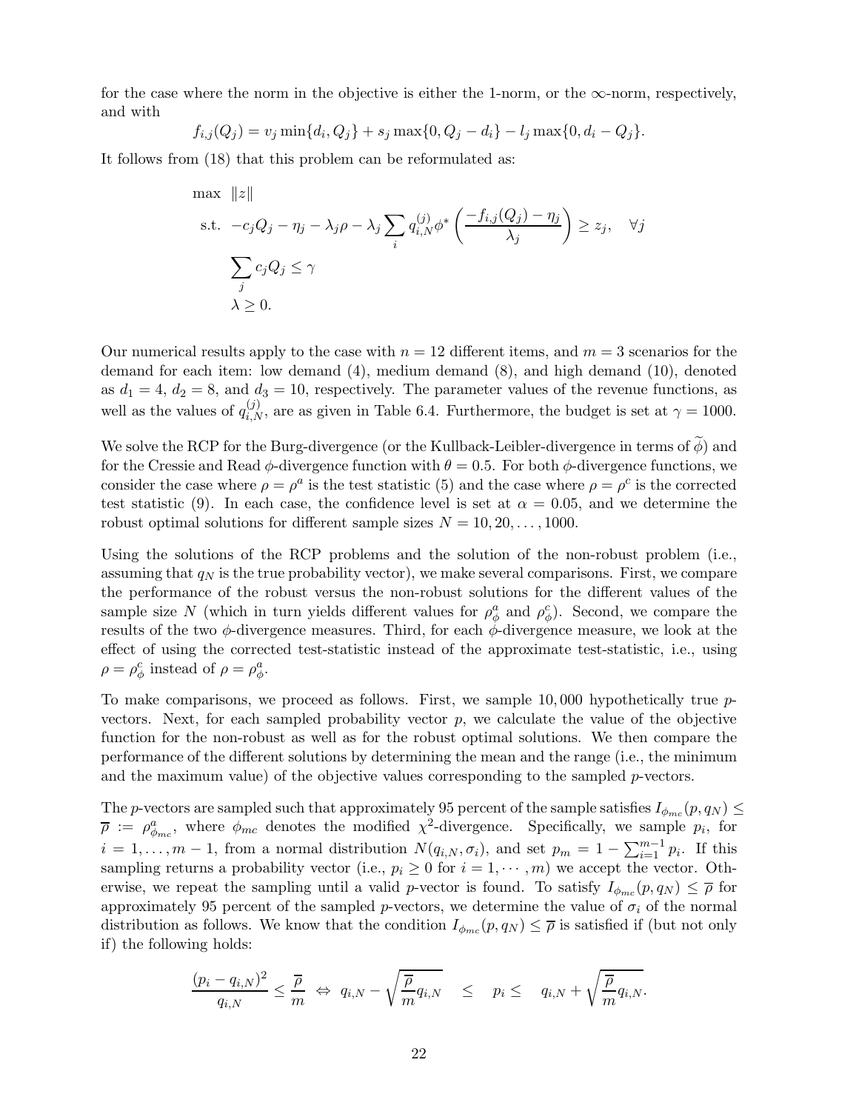for the case where the norm in the objective is either the 1-norm, or the  $\infty$ -norm, respectively, and with

$$
f_{i,j}(Q_j) = v_j \min\{d_i, Q_j\} + s_j \max\{0, Q_j - d_i\} - l_j \max\{0, d_i - Q_j\}.
$$

It follows from (18) that this problem can be reformulated as:

$$
\max ||z||
$$
\n
$$
\text{s.t. } -c_j Q_j - \eta_j - \lambda_j \rho - \lambda_j \sum_i q_{i,N}^{(j)} \phi^* \left( \frac{-f_{i,j}(Q_j) - \eta_j}{\lambda_j} \right) \ge z_j, \quad \forall j
$$
\n
$$
\sum_j c_j Q_j \le \gamma
$$
\n
$$
\lambda \ge 0.
$$

Our numerical results apply to the case with  $n = 12$  different items, and  $m = 3$  scenarios for the demand for each item: low demand (4), medium demand (8), and high demand (10), denoted as  $d_1 = 4$ ,  $d_2 = 8$ , and  $d_3 = 10$ , respectively. The parameter values of the revenue functions, as well as the values of  $q_{i,N}^{(j)}$ , are as given in Table 6.4. Furthermore, the budget is set at  $\gamma = 1000$ .

We solve the RCP for the Burg-divergence (or the Kullback-Leibler-divergence in terms of  $\phi$ ) and for the Cressie and Read  $\phi$ -divergence function with  $\theta = 0.5$ . For both  $\phi$ -divergence functions, we consider the case where  $\rho = \rho^a$  is the test statistic (5) and the case where  $\rho = \rho^c$  is the corrected test statistic (9). In each case, the confidence level is set at  $\alpha = 0.05$ , and we determine the robust optimal solutions for different sample sizes  $N = 10, 20, \ldots, 1000$ .

Using the solutions of the RCP problems and the solution of the non-robust problem (i.e., assuming that  $q_N$  is the true probability vector), we make several comparisons. First, we compare the performance of the robust versus the non-robust solutions for the different values of the sample size N (which in turn yields different values for  $\rho_{\phi}^a$  and  $\rho_{\phi}^c$ ). Second, we compare the results of the two  $\phi$ -divergence measures. Third, for each  $\phi$ -divergence measure, we look at the effect of using the corrected test-statistic instead of the approximate test-statistic, i.e., using  $\rho = \rho_{\phi}^{c}$  instead of  $\rho = \rho_{\phi}^{a}$ .

To make comparisons, we proceed as follows. First, we sample  $10,000$  hypothetically true  $p$ vectors. Next, for each sampled probability vector  $p$ , we calculate the value of the objective function for the non-robust as well as for the robust optimal solutions. We then compare the performance of the different solutions by determining the mean and the range (i.e., the minimum and the maximum value) of the objective values corresponding to the sampled p-vectors.

The p-vectors are sampled such that approximately 95 percent of the sample satisfies  $I_{\phi_{mc}}(p,q_N) \leq$  $\overline{\rho} := \rho_{\phi_{mc}}^a$ , where  $\phi_{mc}$  denotes the modified  $\chi^2$ -divergence. Specifically, we sample  $p_i$ , for  $i = 1, \ldots, m-1$ , from a normal distribution  $N(q_{i,N}, \sigma_i)$ , and set  $p_m = 1 - \sum_{i=1}^{m-1} p_i$ . If this sampling returns a probability vector (i.e.,  $p_i \geq 0$  for  $i = 1, \dots, m$ ) we accept the vector. Otherwise, we repeat the sampling until a valid p-vector is found. To satisfy  $I_{\phi_{mc}}(p,q_N) \leq \overline{\rho}$  for approximately 95 percent of the sampled p-vectors, we determine the value of  $\sigma_i$  of the normal distribution as follows. We know that the condition  $I_{\phi_{mc}}(p,q_N) \leq \overline{\rho}$  is satisfied if (but not only if) the following holds:

$$
\frac{(p_i-q_{i,N})^2}{q_{i,N}} \leq \frac{\overline{\rho}}{m} \Leftrightarrow q_{i,N}-\sqrt{\frac{\overline{\rho}}{m}}q_{i,N} \leq p_i \leq q_{i,N}+\sqrt{\frac{\overline{\rho}}{m}}q_{i,N}.
$$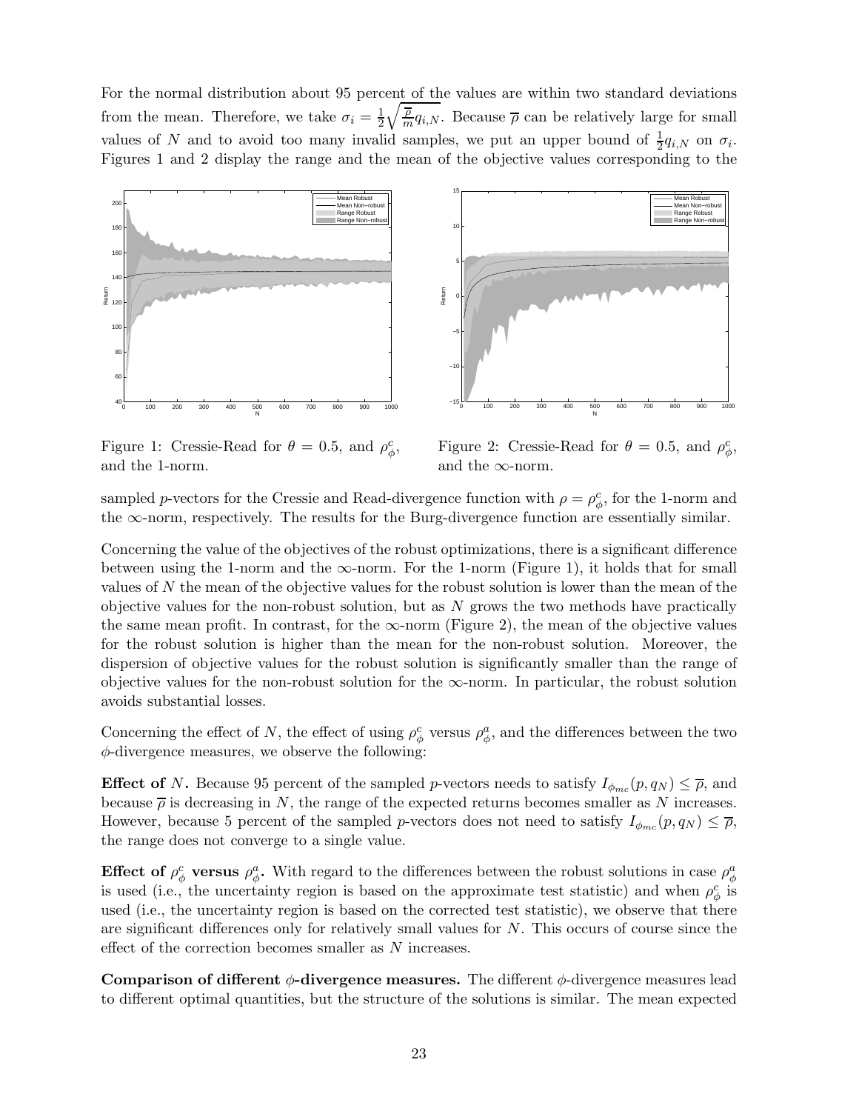For the normal distribution about 95 percent of the values are within two standard deviations from the mean. Therefore, we take  $\sigma_i = \frac{1}{2}$ 2  $\sqrt{\frac{\overline{\rho}}{m}q_{i,N}}$ . Because  $\overline{\rho}$  can be relatively large for small values of N and to avoid too many invalid samples, we put an upper bound of  $\frac{1}{2}q_{i,N}$  on  $\sigma_i$ . Figures 1 and 2 display the range and the mean of the objective values corresponding to the





Figure 1: Cressie-Read for  $\theta = 0.5$ , and  $\rho_{\phi}^{c}$ , and the 1-norm.

Figure 2: Cressie-Read for  $\theta = 0.5$ , and  $\rho_{\phi}^c$ , and the  $\infty$ -norm.

sampled p-vectors for the Cressie and Read-divergence function with  $\rho = \rho_{\phi}^c$ , for the 1-norm and the  $\infty$ -norm, respectively. The results for the Burg-divergence function are essentially similar.

Concerning the value of the objectives of the robust optimizations, there is a significant difference between using the 1-norm and the  $\infty$ -norm. For the 1-norm (Figure 1), it holds that for small values of N the mean of the objective values for the robust solution is lower than the mean of the objective values for the non-robust solution, but as  $N$  grows the two methods have practically the same mean profit. In contrast, for the  $\infty$ -norm (Figure 2), the mean of the objective values for the robust solution is higher than the mean for the non-robust solution. Moreover, the dispersion of objective values for the robust solution is significantly smaller than the range of objective values for the non-robust solution for the  $\infty$ -norm. In particular, the robust solution avoids substantial losses.

Concerning the effect of N, the effect of using  $\rho_{\phi}^c$  versus  $\rho_{\phi}^a$ , and the differences between the two  $\phi$ -divergence measures, we observe the following:

**Effect of N.** Because 95 percent of the sampled p-vectors needs to satisfy  $I_{\phi_{mc}}(p,q_N) \leq \overline{\rho}$ , and because  $\bar{\rho}$  is decreasing in N, the range of the expected returns becomes smaller as N increases. However, because 5 percent of the sampled p-vectors does not need to satisfy  $I_{\phi_{mc}}(p,q_N) \leq \overline{\rho}$ , the range does not converge to a single value.

Effect of  $\rho^c_\phi$  versus  $\rho^a_\phi$ . With regard to the differences between the robust solutions in case  $\rho^a_\phi$ is used (i.e., the uncertainty region is based on the approximate test statistic) and when  $\rho_{\phi}^c$  is used (i.e., the uncertainty region is based on the corrected test statistic), we observe that there are significant differences only for relatively small values for  $N$ . This occurs of course since the effect of the correction becomes smaller as N increases.

Comparison of different  $\phi$ -divergence measures. The different  $\phi$ -divergence measures lead to different optimal quantities, but the structure of the solutions is similar. The mean expected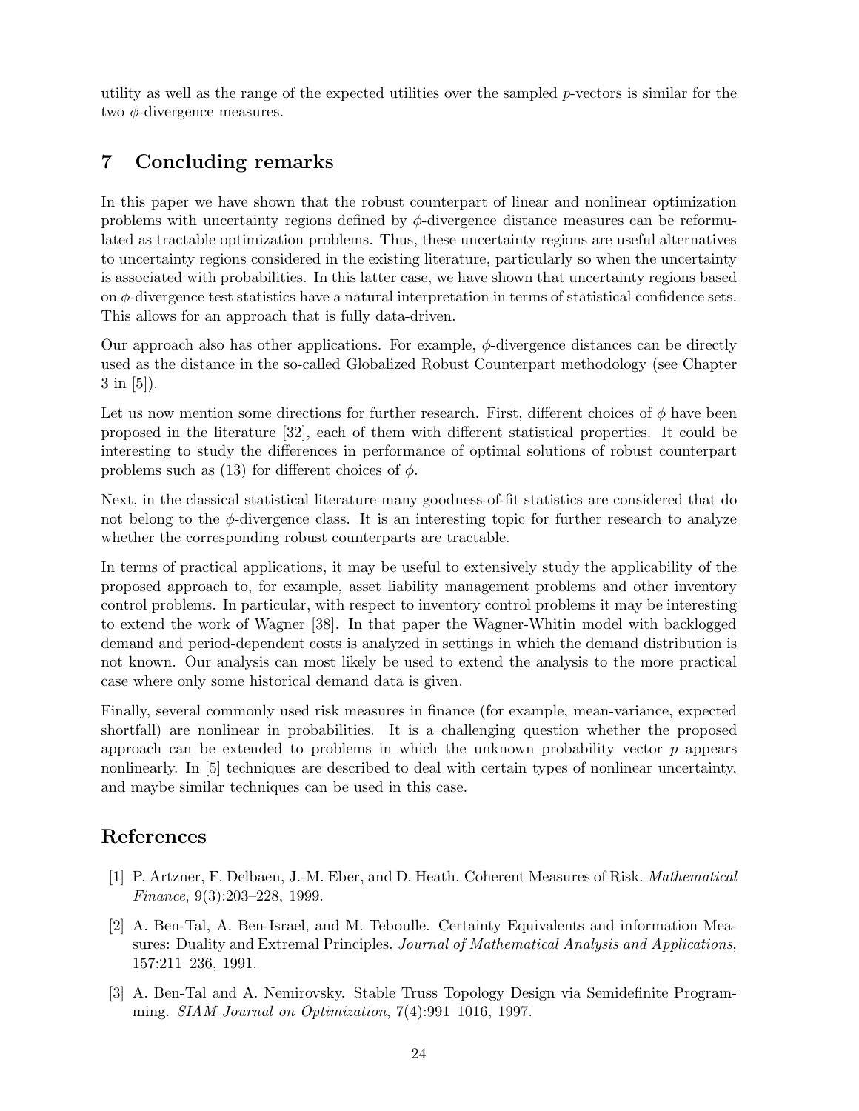utility as well as the range of the expected utilities over the sampled  $p$ -vectors is similar for the two  $\phi$ -divergence measures.

# 7 Concluding remarks

In this paper we have shown that the robust counterpart of linear and nonlinear optimization problems with uncertainty regions defined by  $\phi$ -divergence distance measures can be reformulated as tractable optimization problems. Thus, these uncertainty regions are useful alternatives to uncertainty regions considered in the existing literature, particularly so when the uncertainty is associated with probabilities. In this latter case, we have shown that uncertainty regions based on  $\phi$ -divergence test statistics have a natural interpretation in terms of statistical confidence sets. This allows for an approach that is fully data-driven.

Our approach also has other applications. For example,  $\phi$ -divergence distances can be directly used as the distance in the so-called Globalized Robust Counterpart methodology (see Chapter 3 in [5]).

Let us now mention some directions for further research. First, different choices of  $\phi$  have been proposed in the literature [32], each of them with different statistical properties. It could be interesting to study the differences in performance of optimal solutions of robust counterpart problems such as (13) for different choices of  $\phi$ .

Next, in the classical statistical literature many goodness-of-fit statistics are considered that do not belong to the  $\phi$ -divergence class. It is an interesting topic for further research to analyze whether the corresponding robust counterparts are tractable.

In terms of practical applications, it may be useful to extensively study the applicability of the proposed approach to, for example, asset liability management problems and other inventory control problems. In particular, with respect to inventory control problems it may be interesting to extend the work of Wagner [38]. In that paper the Wagner-Whitin model with backlogged demand and period-dependent costs is analyzed in settings in which the demand distribution is not known. Our analysis can most likely be used to extend the analysis to the more practical case where only some historical demand data is given.

Finally, several commonly used risk measures in finance (for example, mean-variance, expected shortfall) are nonlinear in probabilities. It is a challenging question whether the proposed approach can be extended to problems in which the unknown probability vector  $p$  appears nonlinearly. In [5] techniques are described to deal with certain types of nonlinear uncertainty, and maybe similar techniques can be used in this case.

# References

- [1] P. Artzner, F. Delbaen, J.-M. Eber, and D. Heath. Coherent Measures of Risk. Mathematical Finance, 9(3):203–228, 1999.
- [2] A. Ben-Tal, A. Ben-Israel, and M. Teboulle. Certainty Equivalents and information Measures: Duality and Extremal Principles. Journal of Mathematical Analysis and Applications, 157:211–236, 1991.
- [3] A. Ben-Tal and A. Nemirovsky. Stable Truss Topology Design via Semidefinite Programming. SIAM Journal on Optimization, 7(4):991–1016, 1997.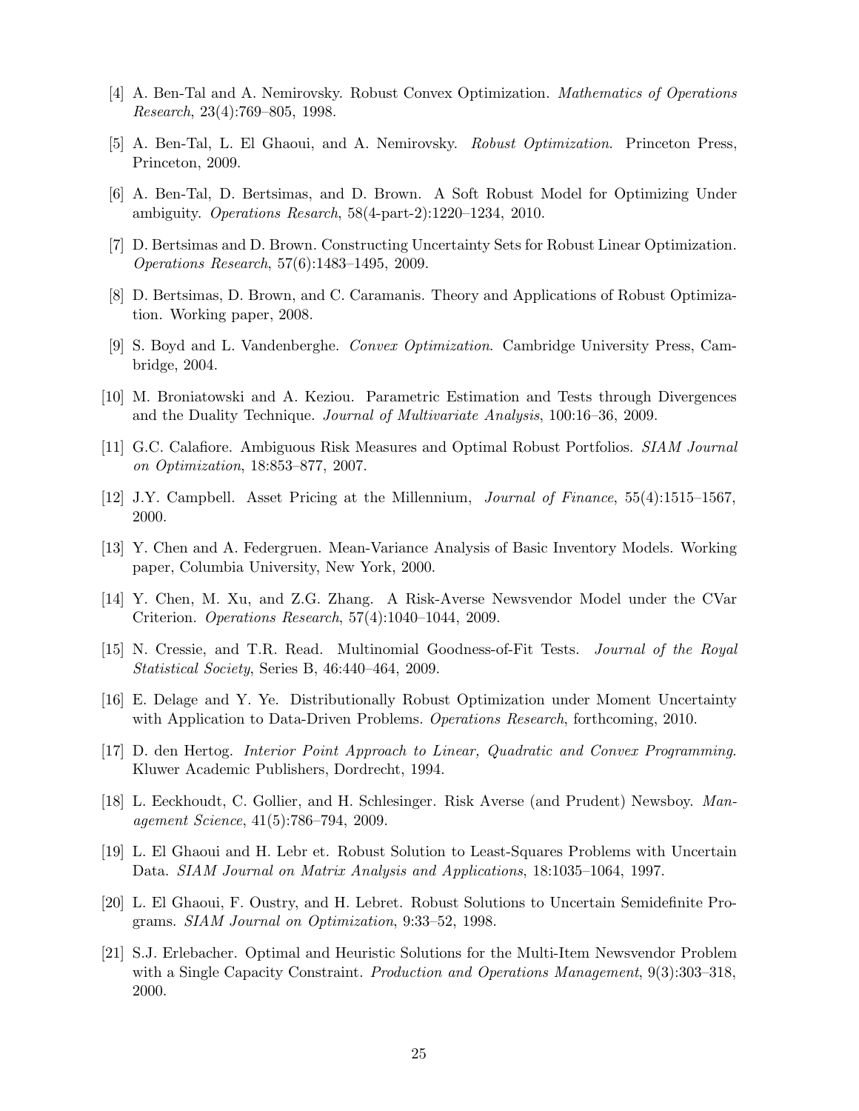- [4] A. Ben-Tal and A. Nemirovsky. Robust Convex Optimization. Mathematics of Operations Research, 23(4):769–805, 1998.
- [5] A. Ben-Tal, L. El Ghaoui, and A. Nemirovsky. Robust Optimization. Princeton Press, Princeton, 2009.
- [6] A. Ben-Tal, D. Bertsimas, and D. Brown. A Soft Robust Model for Optimizing Under ambiguity. Operations Resarch, 58(4-part-2):1220–1234, 2010.
- [7] D. Bertsimas and D. Brown. Constructing Uncertainty Sets for Robust Linear Optimization. Operations Research, 57(6):1483–1495, 2009.
- [8] D. Bertsimas, D. Brown, and C. Caramanis. Theory and Applications of Robust Optimization. Working paper, 2008.
- [9] S. Boyd and L. Vandenberghe. Convex Optimization. Cambridge University Press, Cambridge, 2004.
- [10] M. Broniatowski and A. Keziou. Parametric Estimation and Tests through Divergences and the Duality Technique. Journal of Multivariate Analysis, 100:16–36, 2009.
- [11] G.C. Calafiore. Ambiguous Risk Measures and Optimal Robust Portfolios. SIAM Journal on Optimization, 18:853–877, 2007.
- [12] J.Y. Campbell. Asset Pricing at the Millennium, Journal of Finance, 55(4):1515–1567, 2000.
- [13] Y. Chen and A. Federgruen. Mean-Variance Analysis of Basic Inventory Models. Working paper, Columbia University, New York, 2000.
- [14] Y. Chen, M. Xu, and Z.G. Zhang. A Risk-Averse Newsvendor Model under the CVar Criterion. Operations Research, 57(4):1040–1044, 2009.
- [15] N. Cressie, and T.R. Read. Multinomial Goodness-of-Fit Tests. Journal of the Royal Statistical Society, Series B, 46:440–464, 2009.
- [16] E. Delage and Y. Ye. Distributionally Robust Optimization under Moment Uncertainty with Application to Data-Driven Problems. Operations Research, forthcoming, 2010.
- [17] D. den Hertog. Interior Point Approach to Linear, Quadratic and Convex Programming. Kluwer Academic Publishers, Dordrecht, 1994.
- [18] L. Eeckhoudt, C. Gollier, and H. Schlesinger. Risk Averse (and Prudent) Newsboy. Management Science, 41(5):786–794, 2009.
- [19] L. El Ghaoui and H. Lebr et. Robust Solution to Least-Squares Problems with Uncertain Data. SIAM Journal on Matrix Analysis and Applications, 18:1035–1064, 1997.
- [20] L. El Ghaoui, F. Oustry, and H. Lebret. Robust Solutions to Uncertain Semidefinite Programs. SIAM Journal on Optimization, 9:33–52, 1998.
- [21] S.J. Erlebacher. Optimal and Heuristic Solutions for the Multi-Item Newsvendor Problem with a Single Capacity Constraint. *Production and Operations Management*, 9(3):303–318, 2000.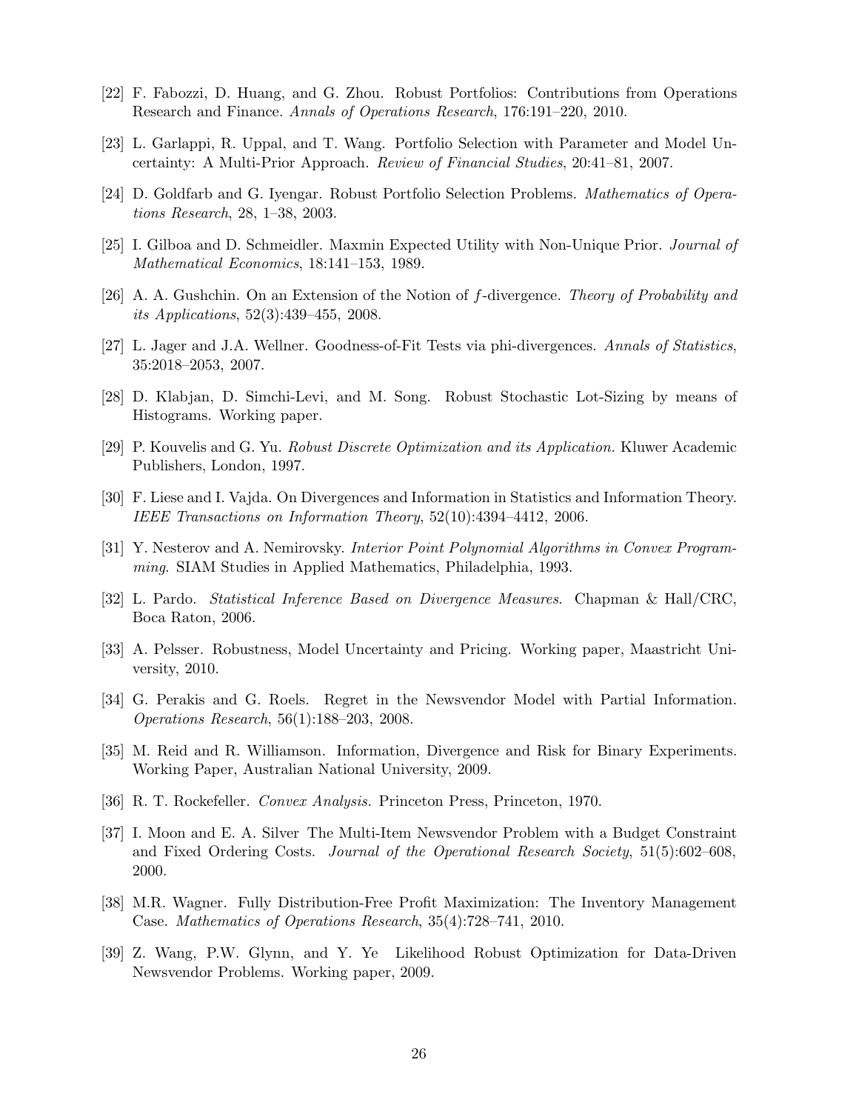- [22] F. Fabozzi, D. Huang, and G. Zhou. Robust Portfolios: Contributions from Operations Research and Finance. Annals of Operations Research, 176:191–220, 2010.
- [23] L. Garlappi, R. Uppal, and T. Wang. Portfolio Selection with Parameter and Model Uncertainty: A Multi-Prior Approach. Review of Financial Studies, 20:41–81, 2007.
- [24] D. Goldfarb and G. Iyengar. Robust Portfolio Selection Problems. Mathematics of Operations Research, 28, 1–38, 2003.
- [25] I. Gilboa and D. Schmeidler. Maxmin Expected Utility with Non-Unique Prior. Journal of Mathematical Economics, 18:141–153, 1989.
- [26] A. A. Gushchin. On an Extension of the Notion of f-divergence. Theory of Probability and its Applications, 52(3):439–455, 2008.
- [27] L. Jager and J.A. Wellner. Goodness-of-Fit Tests via phi-divergences. Annals of Statistics, 35:2018–2053, 2007.
- [28] D. Klabjan, D. Simchi-Levi, and M. Song. Robust Stochastic Lot-Sizing by means of Histograms. Working paper.
- [29] P. Kouvelis and G. Yu. Robust Discrete Optimization and its Application. Kluwer Academic Publishers, London, 1997.
- [30] F. Liese and I. Vajda. On Divergences and Information in Statistics and Information Theory. IEEE Transactions on Information Theory, 52(10):4394–4412, 2006.
- [31] Y. Nesterov and A. Nemirovsky. Interior Point Polynomial Algorithms in Convex Programming. SIAM Studies in Applied Mathematics, Philadelphia, 1993.
- [32] L. Pardo. Statistical Inference Based on Divergence Measures. Chapman & Hall/CRC, Boca Raton, 2006.
- [33] A. Pelsser. Robustness, Model Uncertainty and Pricing. Working paper, Maastricht University, 2010.
- [34] G. Perakis and G. Roels. Regret in the Newsvendor Model with Partial Information. Operations Research, 56(1):188–203, 2008.
- [35] M. Reid and R. Williamson. Information, Divergence and Risk for Binary Experiments. Working Paper, Australian National University, 2009.
- [36] R. T. Rockefeller. Convex Analysis. Princeton Press, Princeton, 1970.
- [37] I. Moon and E. A. Silver The Multi-Item Newsvendor Problem with a Budget Constraint and Fixed Ordering Costs. Journal of the Operational Research Society, 51(5):602–608, 2000.
- [38] M.R. Wagner. Fully Distribution-Free Profit Maximization: The Inventory Management Case. Mathematics of Operations Research, 35(4):728–741, 2010.
- [39] Z. Wang, P.W. Glynn, and Y. Ye Likelihood Robust Optimization for Data-Driven Newsvendor Problems. Working paper, 2009.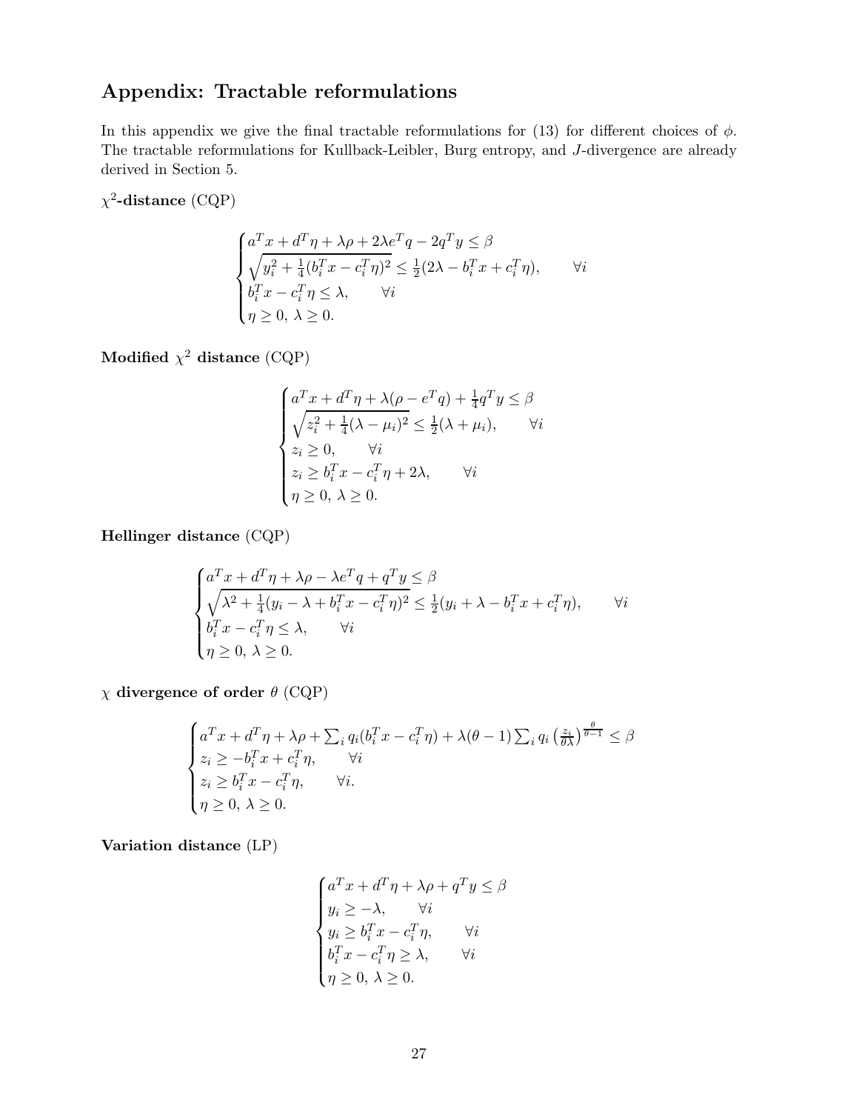# Appendix: Tractable reformulations

In this appendix we give the final tractable reformulations for (13) for different choices of  $\phi$ . The tractable reformulations for Kullback-Leibler, Burg entropy, and J-divergence are already derived in Section 5.

 $\chi^2$ -distance (CQP)

$$
\begin{cases}\na^T x + d^T \eta + \lambda \rho + 2\lambda e^T q - 2q^T y \le \beta \\
\sqrt{y_i^2 + \frac{1}{4} (b_i^T x - c_i^T \eta)^2} \le \frac{1}{2} (2\lambda - b_i^T x + c_i^T \eta), \\
b_i^T x - c_i^T \eta \le \lambda, \qquad \forall i \\
\eta \ge 0, \ \lambda \ge 0.\n\end{cases} \forall i
$$

Modified  $\chi^2$  distance (CQP)

$$
\begin{cases}\na^T x + d^T \eta + \lambda (\rho - e^T q) + \frac{1}{4} q^T y \le \beta \\
\sqrt{z_i^2 + \frac{1}{4} (\lambda - \mu_i)^2} \le \frac{1}{2} (\lambda + \mu_i), \qquad \forall i \\
z_i \ge 0, \qquad \forall i \\
z_i \ge b_i^T x - c_i^T \eta + 2\lambda, \qquad \forall i \\
\eta \ge 0, \ \lambda \ge 0.\n\end{cases}
$$

Hellinger distance (CQP)

$$
\begin{cases}\na^T x + d^T \eta + \lambda \rho - \lambda e^T q + q^T y \le \beta \\
\sqrt{\lambda^2 + \frac{1}{4} (y_i - \lambda + b_i^T x - c_i^T \eta)^2} \le \frac{1}{2} (y_i + \lambda - b_i^T x + c_i^T \eta), \qquad \forall i \\
b_i^T x - c_i^T \eta \le \lambda, \qquad \forall i \\
\eta \ge 0, \ \lambda \ge 0.\n\end{cases} \quad \forall i
$$

 $\chi$  divergence of order  $\theta$  (CQP)

$$
\begin{cases}\na^T x + d^T \eta + \lambda \rho + \sum_i q_i (b_i^T x - c_i^T \eta) + \lambda (\theta - 1) \sum_i q_i \left(\frac{z_i}{\theta \lambda}\right)^{\frac{\theta}{\theta - 1}} \le \beta \\
z_i \ge -b_i^T x + c_i^T \eta, \qquad \forall i \\
z_i \ge b_i^T x - c_i^T \eta, \qquad \forall i. \\
\eta \ge 0, \ \lambda \ge 0.\n\end{cases}
$$

Variation distance (LP)

$$
\begin{cases}\na^T x + d^T \eta + \lambda \rho + q^T y \le \beta \\
y_i \ge -\lambda, & \forall i \\
y_i \ge b_i^T x - c_i^T \eta, & \forall i \\
b_i^T x - c_i^T \eta \ge \lambda, & \forall i \\
\eta \ge 0, \lambda \ge 0.\n\end{cases}
$$